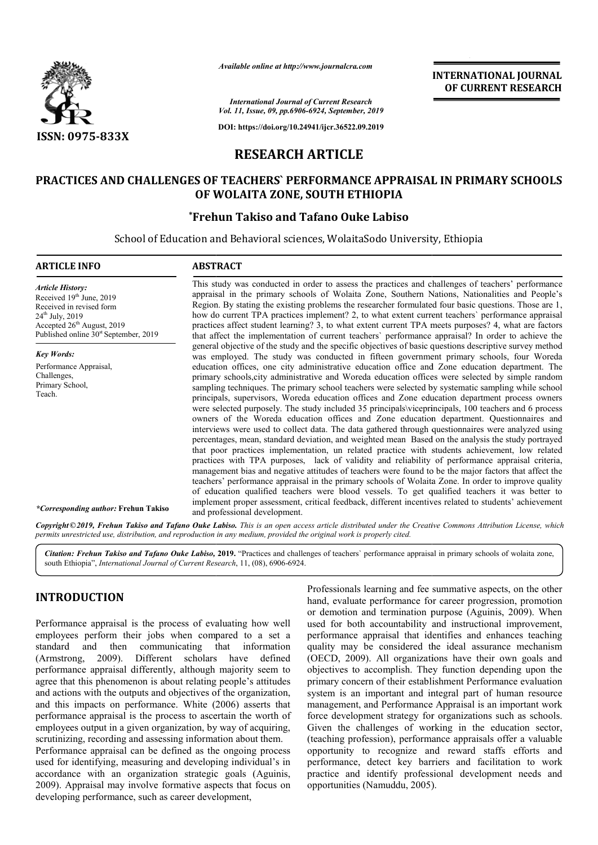

*Available online at http://www.journalcra.com*

# **RESEARCH ARTICLE**

# **PRACTICES AND CHALLENGES OF TEACHERS` PERFORMANCE APPRAISAL IN PRIMARY SCHOOLS PRACTICES PERFORMANCE APPRAISAL PRIMARY SCHOOLS OF WOLAITA ZONE, SOUTH ETHIOPIA**

## **\*Frehun Takiso and Tafano Ouke Labiso Frehun**

|                                                                                                                                                                                                                                                                                                                                                                                                                                                                                                                                                                                                                                                                                                                                                                                                                                                                                                                                                                                                                                                                                                                                                                                                                                                                                                                                                                                                                                                                                                                                                    | - главноге опите иг пир.// www.journatera.com                                 | <b>INTERNATIONAL JOURNAL</b><br>OF CURRENT RESEARCH                                                   |                                                                                                                                                                                                                                                                                                                                                                                                                                                                                                                                                                                                                                                                                                                                                                                                                                                                                                                                                                                                                                                                                               |  |  |  |  |
|----------------------------------------------------------------------------------------------------------------------------------------------------------------------------------------------------------------------------------------------------------------------------------------------------------------------------------------------------------------------------------------------------------------------------------------------------------------------------------------------------------------------------------------------------------------------------------------------------------------------------------------------------------------------------------------------------------------------------------------------------------------------------------------------------------------------------------------------------------------------------------------------------------------------------------------------------------------------------------------------------------------------------------------------------------------------------------------------------------------------------------------------------------------------------------------------------------------------------------------------------------------------------------------------------------------------------------------------------------------------------------------------------------------------------------------------------------------------------------------------------------------------------------------------------|-------------------------------------------------------------------------------|-------------------------------------------------------------------------------------------------------|-----------------------------------------------------------------------------------------------------------------------------------------------------------------------------------------------------------------------------------------------------------------------------------------------------------------------------------------------------------------------------------------------------------------------------------------------------------------------------------------------------------------------------------------------------------------------------------------------------------------------------------------------------------------------------------------------------------------------------------------------------------------------------------------------------------------------------------------------------------------------------------------------------------------------------------------------------------------------------------------------------------------------------------------------------------------------------------------------|--|--|--|--|
|                                                                                                                                                                                                                                                                                                                                                                                                                                                                                                                                                                                                                                                                                                                                                                                                                                                                                                                                                                                                                                                                                                                                                                                                                                                                                                                                                                                                                                                                                                                                                    |                                                                               | <b>International Journal of Current Research</b><br>Vol. 11, Issue, 09, pp.6906-6924, September, 2019 |                                                                                                                                                                                                                                                                                                                                                                                                                                                                                                                                                                                                                                                                                                                                                                                                                                                                                                                                                                                                                                                                                               |  |  |  |  |
| ISSN: 0975-833X                                                                                                                                                                                                                                                                                                                                                                                                                                                                                                                                                                                                                                                                                                                                                                                                                                                                                                                                                                                                                                                                                                                                                                                                                                                                                                                                                                                                                                                                                                                                    |                                                                               | DOI: https://doi.org/10.24941/ijcr.36522.09.2019                                                      |                                                                                                                                                                                                                                                                                                                                                                                                                                                                                                                                                                                                                                                                                                                                                                                                                                                                                                                                                                                                                                                                                               |  |  |  |  |
|                                                                                                                                                                                                                                                                                                                                                                                                                                                                                                                                                                                                                                                                                                                                                                                                                                                                                                                                                                                                                                                                                                                                                                                                                                                                                                                                                                                                                                                                                                                                                    |                                                                               | <b>RESEARCH ARTICLE</b>                                                                               |                                                                                                                                                                                                                                                                                                                                                                                                                                                                                                                                                                                                                                                                                                                                                                                                                                                                                                                                                                                                                                                                                               |  |  |  |  |
|                                                                                                                                                                                                                                                                                                                                                                                                                                                                                                                                                                                                                                                                                                                                                                                                                                                                                                                                                                                                                                                                                                                                                                                                                                                                                                                                                                                                                                                                                                                                                    |                                                                               | OF WOLAITA ZONE, SOUTH ETHIOPIA                                                                       | <b>PRACTICES AND CHALLENGES OF TEACHERS' PERFORMANCE APPRAISAL IN PRIMARY SCHOOLS</b>                                                                                                                                                                                                                                                                                                                                                                                                                                                                                                                                                                                                                                                                                                                                                                                                                                                                                                                                                                                                         |  |  |  |  |
|                                                                                                                                                                                                                                                                                                                                                                                                                                                                                                                                                                                                                                                                                                                                                                                                                                                                                                                                                                                                                                                                                                                                                                                                                                                                                                                                                                                                                                                                                                                                                    | <i><b>*Frehun Takiso and Tafano Ouke Labiso</b></i>                           |                                                                                                       |                                                                                                                                                                                                                                                                                                                                                                                                                                                                                                                                                                                                                                                                                                                                                                                                                                                                                                                                                                                                                                                                                               |  |  |  |  |
|                                                                                                                                                                                                                                                                                                                                                                                                                                                                                                                                                                                                                                                                                                                                                                                                                                                                                                                                                                                                                                                                                                                                                                                                                                                                                                                                                                                                                                                                                                                                                    | School of Education and Behavioral sciences, WolaitaSodo University, Ethiopia |                                                                                                       |                                                                                                                                                                                                                                                                                                                                                                                                                                                                                                                                                                                                                                                                                                                                                                                                                                                                                                                                                                                                                                                                                               |  |  |  |  |
| <b>ARTICLE INFO</b>                                                                                                                                                                                                                                                                                                                                                                                                                                                                                                                                                                                                                                                                                                                                                                                                                                                                                                                                                                                                                                                                                                                                                                                                                                                                                                                                                                                                                                                                                                                                | <b>ABSTRACT</b>                                                               |                                                                                                       |                                                                                                                                                                                                                                                                                                                                                                                                                                                                                                                                                                                                                                                                                                                                                                                                                                                                                                                                                                                                                                                                                               |  |  |  |  |
| <b>Article History:</b><br>Received 19th June, 2019<br>Received in revised form<br>24 <sup>th</sup> July, 2019<br>Accepted 26 <sup>th</sup> August, 2019<br>Published online 30 <sup>st</sup> September, 2019                                                                                                                                                                                                                                                                                                                                                                                                                                                                                                                                                                                                                                                                                                                                                                                                                                                                                                                                                                                                                                                                                                                                                                                                                                                                                                                                      |                                                                               |                                                                                                       | This study was conducted in order to assess the practices and challenges of teachers' performance<br>appraisal in the primary schools of Wolaita Zone, Southern Nations, Nationalities and People's<br>Region. By stating the existing problems the researcher formulated four basic questions. Those are 1,<br>how do current TPA practices implement? 2, to what extent current teachers' performance appraisal<br>practices affect student learning? 3, to what extent current TPA meets purposes? 4, what are factors<br>that affect the implementation of current teachers' performance appraisal? In order to achieve the                                                                                                                                                                                                                                                                                                                                                                                                                                                               |  |  |  |  |
| general objective of the study and the specific objectives of basic questions descriptive survey method<br><b>Key Words:</b><br>was employed. The study was conducted in fifteen government primary schools, four Woreda<br>Performance Appraisal,<br>education offices, one city administrative education office and Zone education department. The<br>Challenges,<br>primary schools, city administrative and Woreda education offices were selected by simple random<br>Primary School,<br>sampling techniques. The primary school teachers were selected by systematic sampling while school<br>Teach.<br>principals, supervisors, Woreda education offices and Zone education department process owners<br>were selected purposely. The study included 35 principals/viceprincipals, 100 teachers and 6 process<br>owners of the Woreda education offices and Zone education department. Questionnaires and<br>interviews were used to collect data. The data gathered through questionnaires were analyzed using<br>percentages, mean, standard deviation, and weighted mean Based on the analysis the study portrayed<br>that poor practices implementation, un related practice with students achievement, low related<br>practices with TPA purposes, lack of validity and reliability of performance appraisal criteria,<br>management bias and negative attitudes of teachers were found to be the major factors that affect the<br>teachers' performance appraisal in the primary schools of Wolaita Zone. In order to improve quality |                                                                               |                                                                                                       |                                                                                                                                                                                                                                                                                                                                                                                                                                                                                                                                                                                                                                                                                                                                                                                                                                                                                                                                                                                                                                                                                               |  |  |  |  |
| <i>*Corresponding author:</i> Frehun Takiso                                                                                                                                                                                                                                                                                                                                                                                                                                                                                                                                                                                                                                                                                                                                                                                                                                                                                                                                                                                                                                                                                                                                                                                                                                                                                                                                                                                                                                                                                                        | and professional development.                                                 |                                                                                                       | of education qualified teachers were blood vessels. To get qualified teachers it was better to<br>implement proper assessment, critical feedback, different incentives related to students' achievement                                                                                                                                                                                                                                                                                                                                                                                                                                                                                                                                                                                                                                                                                                                                                                                                                                                                                       |  |  |  |  |
| permits unrestricted use, distribution, and reproduction in any medium, provided the original work is properly cited.                                                                                                                                                                                                                                                                                                                                                                                                                                                                                                                                                                                                                                                                                                                                                                                                                                                                                                                                                                                                                                                                                                                                                                                                                                                                                                                                                                                                                              |                                                                               |                                                                                                       | Copyright ©2019, Frehun Takiso and Tafano Ouke Labiso. This is an open access article distributed under the Creative Commons Attribution License, which                                                                                                                                                                                                                                                                                                                                                                                                                                                                                                                                                                                                                                                                                                                                                                                                                                                                                                                                       |  |  |  |  |
| south Ethiopia", International Journal of Current Research, 11, (08), 6906-6924.                                                                                                                                                                                                                                                                                                                                                                                                                                                                                                                                                                                                                                                                                                                                                                                                                                                                                                                                                                                                                                                                                                                                                                                                                                                                                                                                                                                                                                                                   |                                                                               |                                                                                                       | Citation: Frehun Takiso and Tafano Ouke Labiso, 2019. "Practices and challenges of teachers' performance appraisal in primary schools of wolaita zone,                                                                                                                                                                                                                                                                                                                                                                                                                                                                                                                                                                                                                                                                                                                                                                                                                                                                                                                                        |  |  |  |  |
| <b>INTRODUCTION</b><br>Performance appraisal is the process of evaluating how well<br>employees perform their jobs when compared to a set a<br>standard<br>and<br>communicating<br>then<br>2009).<br>(Armstrong,<br>performance appraisal differently, although majority seem to<br>agree that this phenomenon is about relating people's attitudes<br>and actions with the outputs and objectives of the organization,<br>and this impacts on performance. White (2006) asserts that<br>performance appraisal is the process to ascertain the worth of<br>employees output in a given organization, by way of acquiring,<br>scrutinizing, recording and assessing information about them.<br>Performance appraisal can be defined as the ongoing process<br>used for identifying, measuring and developing individual's in<br>accordance with an organization strategic goals (Aguinis,                                                                                                                                                                                                                                                                                                                                                                                                                                                                                                                                                                                                                                                           | that<br>information<br>Different scholars have<br>defined                     |                                                                                                       | Professionals learning and fee summative aspects, on the other<br>hand, evaluate performance for career progression, promotion<br>or demotion and termination purpose (Aguinis, 2009). When<br>used for both accountability and instructional improvement,<br>performance appraisal that identifies and enhances teaching<br>quality may be considered the ideal assurance mechanism<br>(OECD, 2009). All organizations have their own goals and<br>objectives to accomplish. They function depending upon the<br>primary concern of their establishment Performance evaluation<br>system is an important and integral part of human resource<br>management, and Performance Appraisal is an important work<br>force development strategy for organizations such as schools.<br>Given the challenges of working in the education sector,<br>(teaching profession), performance appraisals offer a valuable<br>opportunity to recognize and reward staffs efforts and<br>performance, detect key barriers and facilitation to work<br>practice and identify professional development needs and |  |  |  |  |

## **INTRODUCTION**

Performance appraisal can be defined as the ongoing process used for identifying, measuring and developing individual's in accordance with an organization strategic goals (Aguinis, 2009). Appraisal may involve formative aspects that focus on developing performance, such as career development,

Frofessionals learning and fee summative aspects, on the other<br>
hand, evaluate performance for career progression, promotion<br>
al is the process of evaluating how well<br>
are formance are promotion and termination purpose (Ag Professionals learning and fee summative aspects, on the other hand, evaluate performance for career progression, promotion or demotion and termination purpose (Aguinis, 2009). When used for both accountability and instructional improvement, performance appraisal that identifies and enhances teaching quality may be considered the ideal assurance mechanism (OECD, 2009). All organizations have their own goals and objectives to accomplish. They function depending upon the primary concern of their establishment Performance evaluation system is an important and integral part of human resource management, and Performance Appraisal is an important work force development strategy for organizations such as schools. Given the challenges of working in the education sector, (teaching profession), performance appraisals offer a valuable opportunity to recognize and reward staffs effo performance, detect key barriers and facilitation to work practice and identify professional development needs and opportunities (Namuddu, 2005). demotion and termination purpose (Aguinis, 2009). When<br>d for both accountability and instructional improvement,<br>formance appraisal that identifies and enhances teaching<br>ality may be considered the ideal assurance mechanism nt strategy for organizations such as schools.<br>
enges of working in the education sector,<br>
ion), performance appraisals offer a valuable<br>
recognize and reward staffs efforts and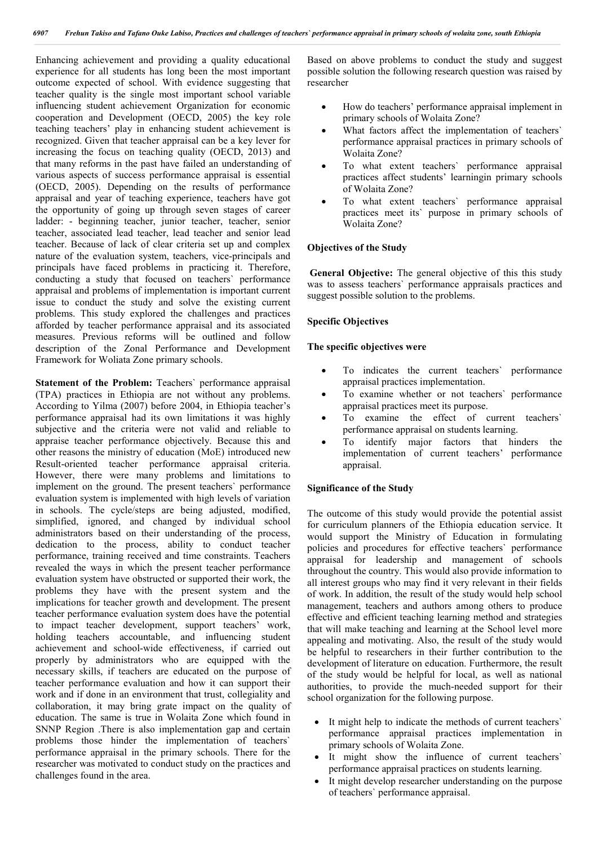Enhancing achievement and providing a quality educational experience for all students has long been the most important outcome expected of school. With evidence suggesting that teacher quality is the single most important school variable influencing student achievement Organization for economic cooperation and Development (OECD, 2005) the key role teaching teachers' play in enhancing student achievement is recognized. Given that teacher appraisal can be a key lever for increasing the focus on teaching quality (OECD, 2013) and that many reforms in the past have failed an understanding of various aspects of success performance appraisal is essential (OECD, 2005). Depending on the results of performance appraisal and year of teaching experience, teachers have got the opportunity of going up through seven stages of career ladder: - beginning teacher, junior teacher, teacher, senior teacher, associated lead teacher, lead teacher and senior lead teacher. Because of lack of clear criteria set up and complex nature of the evaluation system, teachers, vice-principals and principals have faced problems in practicing it. Therefore, conducting a study that focused on teachers` performance appraisal and problems of implementation is important current issue to conduct the study and solve the existing current problems. This study explored the challenges and practices afforded by teacher performance appraisal and its associated measures. Previous reforms will be outlined and follow description of the Zonal Performance and Development Framework for Woliata Zone primary schools.

**Statement of the Problem:** Teachers' performance appraisal (TPA) practices in Ethiopia are not without any problems. According to Yilma (2007) before 2004, in Ethiopia teacher's performance appraisal had its own limitations it was highly subjective and the criteria were not valid and reliable to appraise teacher performance objectively. Because this and other reasons the ministry of education (MoE) introduced new Result-oriented teacher performance appraisal criteria. However, there were many problems and limitations to implement on the ground. The present teachers` performance evaluation system is implemented with high levels of variation in schools. The cycle/steps are being adjusted, modified, simplified, ignored, and changed by individual school administrators based on their understanding of the process, dedication to the process, ability to conduct teacher performance, training received and time constraints. Teachers revealed the ways in which the present teacher performance evaluation system have obstructed or supported their work, the problems they have with the present system and the implications for teacher growth and development. The present teacher performance evaluation system does have the potential to impact teacher development, support teachers' work, holding teachers accountable, and influencing student achievement and school-wide effectiveness, if carried out properly by administrators who are equipped with the necessary skills, if teachers are educated on the purpose of teacher performance evaluation and how it can support their work and if done in an environment that trust, collegiality and collaboration, it may bring grate impact on the quality of education. The same is true in Wolaita Zone which found in SNNP Region .There is also implementation gap and certain problems those hinder the implementation of teachers` performance appraisal in the primary schools. There for the researcher was motivated to conduct study on the practices and challenges found in the area.

Based on above problems to conduct the study and suggest possible solution the following research question was raised by researcher

- How do teachers' performance appraisal implement in primary schools of Wolaita Zone?
- What factors affect the implementation of teachers` performance appraisal practices in primary schools of Wolaita Zone?
- To what extent teachers` performance appraisal practices affect students' learningin primary schools of Wolaita Zone?
- To what extent teachers` performance appraisal practices meet its` purpose in primary schools of Wolaita Zone?

### **Objectives of the Study**

**General Objective:** The general objective of this this study was to assess teachers` performance appraisals practices and suggest possible solution to the problems.

### **Specific Objectives**

## **The specific objectives were**

- To indicates the current teachers` performance appraisal practices implementation.
- To examine whether or not teachers` performance appraisal practices meet its purpose.
- To examine the effect of current teachers` performance appraisal on students learning.
- To identify major factors that hinders the implementation of current teachers' performance appraisal.

### **Significance of the Study**

The outcome of this study would provide the potential assist for curriculum planners of the Ethiopia education service. It would support the Ministry of Education in formulating policies and procedures for effective teachers` performance appraisal for leadership and management of schools throughout the country. This would also provide information to all interest groups who may find it very relevant in their fields of work. In addition, the result of the study would help school management, teachers and authors among others to produce effective and efficient teaching learning method and strategies that will make teaching and learning at the School level more appealing and motivating. Also, the result of the study would be helpful to researchers in their further contribution to the development of literature on education. Furthermore, the result of the study would be helpful for local, as well as national authorities, to provide the much-needed support for their school organization for the following purpose.

- It might help to indicate the methods of current teachers` performance appraisal practices implementation in primary schools of Wolaita Zone.
- It might show the influence of current teachers' performance appraisal practices on students learning.
- It might develop researcher understanding on the purpose of teachers` performance appraisal.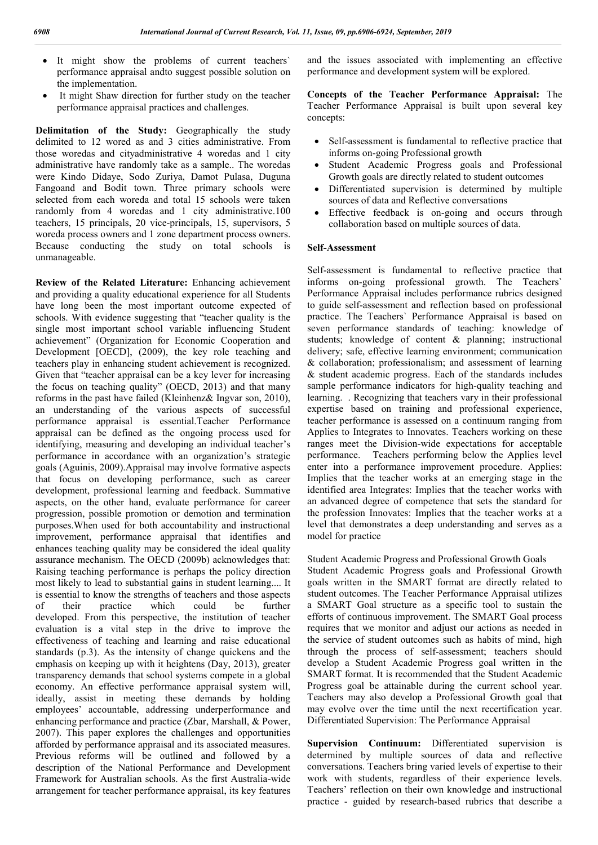- It might show the problems of current teachers` performance appraisal andto suggest possible solution on the implementation.
- It might Shaw direction for further study on the teacher performance appraisal practices and challenges.

**Delimitation of the Study:** Geographically the study delimited to 12 wored as and 3 cities administrative. From those woredas and cityadministrative 4 woredas and 1 city administrative have randomly take as a sample.. The woredas were Kindo Didaye, Sodo Zuriya, Damot Pulasa, Duguna Fangoand and Bodit town. Three primary schools were selected from each woreda and total 15 schools were taken randomly from 4 woredas and 1 city administrative.100 teachers, 15 principals, 20 vice-principals, 15, supervisors, 5 woreda process owners and 1 zone department process owners. Because conducting the study on total schools is unmanageable.

**Review of the Related Literature:** Enhancing achievement and providing a quality educational experience for all Students have long been the most important outcome expected of schools. With evidence suggesting that "teacher quality is the single most important school variable influencing Student achievement" (Organization for Economic Cooperation and Development [OECD], (2009), the key role teaching and teachers play in enhancing student achievement is recognized. Given that "teacher appraisal can be a key lever for increasing the focus on teaching quality" (OECD, 2013) and that many reforms in the past have failed (Kleinhenz& Ingvar son, 2010), an understanding of the various aspects of successful performance appraisal is essential.Teacher Performance appraisal can be defined as the ongoing process used for identifying, measuring and developing an individual teacher's performance in accordance with an organization's strategic goals (Aguinis, 2009).Appraisal may involve formative aspects that focus on developing performance, such as career development, professional learning and feedback. Summative aspects, on the other hand, evaluate performance for career progression, possible promotion or demotion and termination purposes.When used for both accountability and instructional improvement, performance appraisal that identifies and enhances teaching quality may be considered the ideal quality assurance mechanism. The OECD (2009b) acknowledges that: Raising teaching performance is perhaps the policy direction most likely to lead to substantial gains in student learning.... It is essential to know the strengths of teachers and those aspects of their practice which could be further developed. From this perspective, the institution of teacher evaluation is a vital step in the drive to improve the effectiveness of teaching and learning and raise educational standards (p.3). As the intensity of change quickens and the emphasis on keeping up with it heightens (Day, 2013), greater transparency demands that school systems compete in a global economy. An effective performance appraisal system will, ideally, assist in meeting these demands by holding employees' accountable, addressing underperformance and enhancing performance and practice (Zbar, Marshall, & Power, 2007). This paper explores the challenges and opportunities afforded by performance appraisal and its associated measures. Previous reforms will be outlined and followed by a description of the National Performance and Development Framework for Australian schools. As the first Australia-wide arrangement for teacher performance appraisal, its key features and the issues associated with implementing an effective performance and development system will be explored.

**Concepts of the Teacher Performance Appraisal:** The Teacher Performance Appraisal is built upon several key concepts:

- Self-assessment is fundamental to reflective practice that informs on-going Professional growth
- Student Academic Progress goals and Professional Growth goals are directly related to student outcomes
- Differentiated supervision is determined by multiple sources of data and Reflective conversations
- Effective feedback is on-going and occurs through collaboration based on multiple sources of data.

### **Self-Assessment**

Self-assessment is fundamental to reflective practice that informs on-going professional growth. The Teachers` Performance Appraisal includes performance rubrics designed to guide self-assessment and reflection based on professional practice. The Teachers` Performance Appraisal is based on seven performance standards of teaching: knowledge of students; knowledge of content & planning; instructional delivery; safe, effective learning environment; communication & collaboration; professionalism; and assessment of learning & student academic progress. Each of the standards includes sample performance indicators for high-quality teaching and learning. . Recognizing that teachers vary in their professional expertise based on training and professional experience, teacher performance is assessed on a continuum ranging from Applies to Integrates to Innovates. Teachers working on these ranges meet the Division-wide expectations for acceptable performance. Teachers performing below the Applies level enter into a performance improvement procedure. Applies: Implies that the teacher works at an emerging stage in the identified area Integrates: Implies that the teacher works with an advanced degree of competence that sets the standard for the profession Innovates: Implies that the teacher works at a level that demonstrates a deep understanding and serves as a model for practice

Student Academic Progress and Professional Growth Goals Student Academic Progress goals and Professional Growth goals written in the SMART format are directly related to student outcomes. The Teacher Performance Appraisal utilizes a SMART Goal structure as a specific tool to sustain the efforts of continuous improvement. The SMART Goal process requires that we monitor and adjust our actions as needed in the service of student outcomes such as habits of mind, high through the process of self-assessment; teachers should develop a Student Academic Progress goal written in the SMART format. It is recommended that the Student Academic Progress goal be attainable during the current school year. Teachers may also develop a Professional Growth goal that may evolve over the time until the next recertification year. Differentiated Supervision: The Performance Appraisal

**Supervision Continuum:** Differentiated supervision is determined by multiple sources of data and reflective conversations. Teachers bring varied levels of expertise to their work with students, regardless of their experience levels. Teachers' reflection on their own knowledge and instructional practice - guided by research-based rubrics that describe a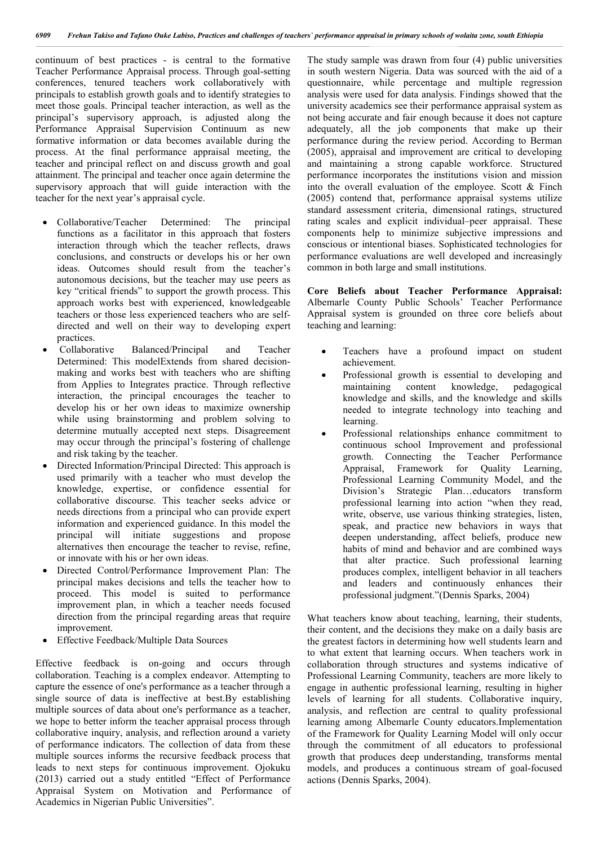continuum of best practices - is central to the formative Teacher Performance Appraisal process. Through goal-setting conferences, tenured teachers work collaboratively with principals to establish growth goals and to identify strategies to meet those goals. Principal teacher interaction, as well as the principal's supervisory approach, is adjusted along the Performance Appraisal Supervision Continuum as new formative information or data becomes available during the process. At the final performance appraisal meeting, the teacher and principal reflect on and discuss growth and goal attainment. The principal and teacher once again determine the supervisory approach that will guide interaction with the teacher for the next year's appraisal cycle.

- Collaborative/Teacher Determined: The principal functions as a facilitator in this approach that fosters interaction through which the teacher reflects, draws conclusions, and constructs or develops his or her own ideas. Outcomes should result from the teacher's autonomous decisions, but the teacher may use peers as key "critical friends" to support the growth process. This approach works best with experienced, knowledgeable teachers or those less experienced teachers who are selfdirected and well on their way to developing expert practices.
- Collaborative Balanced/Principal and Teacher Determined: This modelExtends from shared decisionmaking and works best with teachers who are shifting from Applies to Integrates practice. Through reflective interaction, the principal encourages the teacher to develop his or her own ideas to maximize ownership while using brainstorming and problem solving to determine mutually accepted next steps. Disagreement may occur through the principal's fostering of challenge and risk taking by the teacher.
- Directed Information/Principal Directed: This approach is used primarily with a teacher who must develop the knowledge, expertise, or confidence essential for collaborative discourse. This teacher seeks advice or needs directions from a principal who can provide expert information and experienced guidance. In this model the principal will initiate suggestions and propose alternatives then encourage the teacher to revise, refine, or innovate with his or her own ideas.
- Directed Control/Performance Improvement Plan: The principal makes decisions and tells the teacher how to proceed. This model is suited to performance improvement plan, in which a teacher needs focused direction from the principal regarding areas that require improvement.
- Effective Feedback/Multiple Data Sources

Effective feedback is on-going and occurs through collaboration. Teaching is a complex endeavor. Attempting to capture the essence of one's performance as a teacher through a single source of data is ineffective at best.By establishing multiple sources of data about one's performance as a teacher, we hope to better inform the teacher appraisal process through collaborative inquiry, analysis, and reflection around a variety of performance indicators. The collection of data from these multiple sources informs the recursive feedback process that leads to next steps for continuous improvement. Ojokuku (2013) carried out a study entitled "Effect of Performance Appraisal System on Motivation and Performance of Academics in Nigerian Public Universities".

The study sample was drawn from four (4) public universities in south western Nigeria. Data was sourced with the aid of a questionnaire, while percentage and multiple regression analysis were used for data analysis. Findings showed that the university academics see their performance appraisal system as not being accurate and fair enough because it does not capture adequately, all the job components that make up their performance during the review period. According to Berman (2005), appraisal and improvement are critical to developing and maintaining a strong capable workforce. Structured performance incorporates the institutions vision and mission into the overall evaluation of the employee. Scott  $\&$  Finch (2005) contend that, performance appraisal systems utilize standard assessment criteria, dimensional ratings, structured rating scales and explicit individual–peer appraisal. These components help to minimize subjective impressions and conscious or intentional biases. Sophisticated technologies for performance evaluations are well developed and increasingly common in both large and small institutions.

**Core Beliefs about Teacher Performance Appraisal:**  Albemarle County Public Schools' Teacher Performance Appraisal system is grounded on three core beliefs about teaching and learning:

- Teachers have a profound impact on student achievement.
- Professional growth is essential to developing and maintaining content knowledge, pedagogical knowledge and skills, and the knowledge and skills needed to integrate technology into teaching and learning.
- Professional relationships enhance commitment to continuous school Improvement and professional growth. Connecting the Teacher Performance Appraisal, Framework for Quality Learning, Professional Learning Community Model, and the Division's Strategic Plan…educators transform professional learning into action "when they read, write, observe, use various thinking strategies, listen, speak, and practice new behaviors in ways that deepen understanding, affect beliefs, produce new habits of mind and behavior and are combined ways that alter practice. Such professional learning produces complex, intelligent behavior in all teachers and leaders and continuously enhances their professional judgment."(Dennis Sparks, 2004)

What teachers know about teaching, learning, their students, their content, and the decisions they make on a daily basis are the greatest factors in determining how well students learn and to what extent that learning occurs. When teachers work in collaboration through structures and systems indicative of Professional Learning Community, teachers are more likely to engage in authentic professional learning, resulting in higher levels of learning for all students. Collaborative inquiry, analysis, and reflection are central to quality professional learning among Albemarle County educators.Implementation of the Framework for Quality Learning Model will only occur through the commitment of all educators to professional growth that produces deep understanding, transforms mental models, and produces a continuous stream of goal-focused actions (Dennis Sparks, 2004).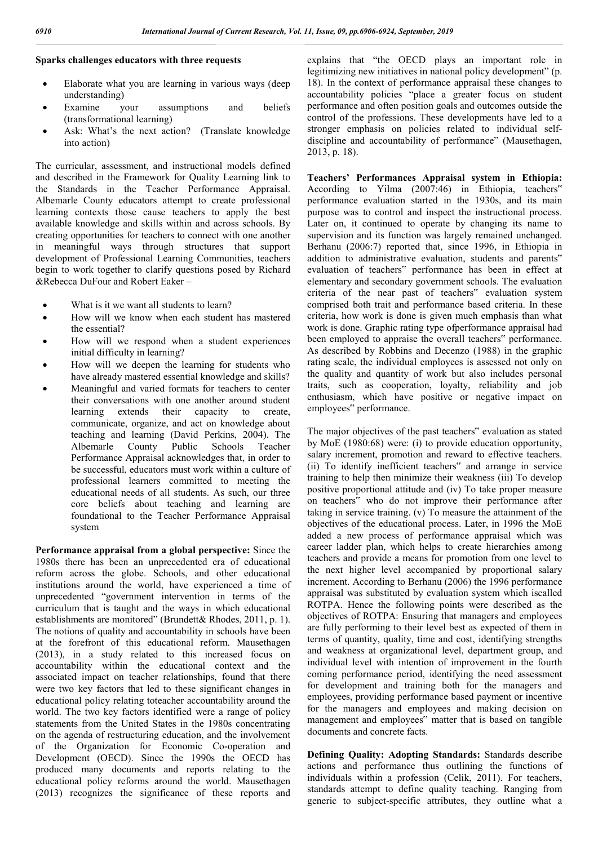## **Sparks challenges educators with three requests**

- Elaborate what you are learning in various ways (deep understanding)
- Examine your assumptions and beliefs (transformational learning)
- Ask: What's the next action? (Translate knowledge into action)

The curricular, assessment, and instructional models defined and described in the Framework for Quality Learning link to the Standards in the Teacher Performance Appraisal. Albemarle County educators attempt to create professional learning contexts those cause teachers to apply the best available knowledge and skills within and across schools. By creating opportunities for teachers to connect with one another in meaningful ways through structures that support development of Professional Learning Communities, teachers begin to work together to clarify questions posed by Richard &Rebecca DuFour and Robert Eaker –

- What is it we want all students to learn?
- How will we know when each student has mastered the essential?
- How will we respond when a student experiences initial difficulty in learning?
- How will we deepen the learning for students who have already mastered essential knowledge and skills?
- Meaningful and varied formats for teachers to center their conversations with one another around student learning extends their capacity to create, communicate, organize, and act on knowledge about teaching and learning (David Perkins, 2004). The Albemarle County Public Schools Teacher Performance Appraisal acknowledges that, in order to be successful, educators must work within a culture of professional learners committed to meeting the educational needs of all students. As such, our three core beliefs about teaching and learning are foundational to the Teacher Performance Appraisal system

**Performance appraisal from a global perspective:** Since the 1980s there has been an unprecedented era of educational reform across the globe. Schools, and other educational institutions around the world, have experienced a time of unprecedented "government intervention in terms of the curriculum that is taught and the ways in which educational establishments are monitored" (Brundett& Rhodes, 2011, p. 1). The notions of quality and accountability in schools have been at the forefront of this educational reform. Mausethagen (2013), in a study related to this increased focus on accountability within the educational context and the associated impact on teacher relationships, found that there were two key factors that led to these significant changes in educational policy relating toteacher accountability around the world. The two key factors identified were a range of policy statements from the United States in the 1980s concentrating on the agenda of restructuring education, and the involvement of the Organization for Economic Co-operation and Development (OECD). Since the 1990s the OECD has produced many documents and reports relating to the educational policy reforms around the world. Mausethagen (2013) recognizes the significance of these reports and explains that "the OECD plays an important role in legitimizing new initiatives in national policy development" (p. 18). In the context of performance appraisal these changes to accountability policies "place a greater focus on student performance and often position goals and outcomes outside the control of the professions. These developments have led to a stronger emphasis on policies related to individual selfdiscipline and accountability of performance" (Mausethagen, 2013, p. 18).

**Teachers' Performances Appraisal system in Ethiopia:**  According to Yilma (2007:46) in Ethiopia, teachers" performance evaluation started in the 1930s, and its main purpose was to control and inspect the instructional process. Later on, it continued to operate by changing its name to supervision and its function was largely remained unchanged. Berhanu (2006:7) reported that, since 1996, in Ethiopia in addition to administrative evaluation, students and parents" evaluation of teachers" performance has been in effect at elementary and secondary government schools. The evaluation criteria of the near past of teachers" evaluation system comprised both trait and performance based criteria. In these criteria, how work is done is given much emphasis than what work is done. Graphic rating type ofperformance appraisal had been employed to appraise the overall teachers" performance. As described by Robbins and Decenzo (1988) in the graphic rating scale, the individual employees is assessed not only on the quality and quantity of work but also includes personal traits, such as cooperation, loyalty, reliability and job enthusiasm, which have positive or negative impact on employees" performance.

The major objectives of the past teachers" evaluation as stated by MoE (1980:68) were: (i) to provide education opportunity, salary increment, promotion and reward to effective teachers. (ii) To identify inefficient teachers" and arrange in service training to help then minimize their weakness (iii) To develop positive proportional attitude and (iv) To take proper measure on teachers" who do not improve their performance after taking in service training. (v) To measure the attainment of the objectives of the educational process. Later, in 1996 the MoE added a new process of performance appraisal which was career ladder plan, which helps to create hierarchies among teachers and provide a means for promotion from one level to the next higher level accompanied by proportional salary increment. According to Berhanu (2006) the 1996 performance appraisal was substituted by evaluation system which iscalled ROTPA. Hence the following points were described as the objectives of ROTPA: Ensuring that managers and employees are fully performing to their level best as expected of them in terms of quantity, quality, time and cost, identifying strengths and weakness at organizational level, department group, and individual level with intention of improvement in the fourth coming performance period, identifying the need assessment for development and training both for the managers and employees, providing performance based payment or incentive for the managers and employees and making decision on management and employees" matter that is based on tangible documents and concrete facts.

**Defining Quality: Adopting Standards:** Standards describe actions and performance thus outlining the functions of individuals within a profession (Celik, 2011). For teachers, standards attempt to define quality teaching. Ranging from generic to subject-specific attributes, they outline what a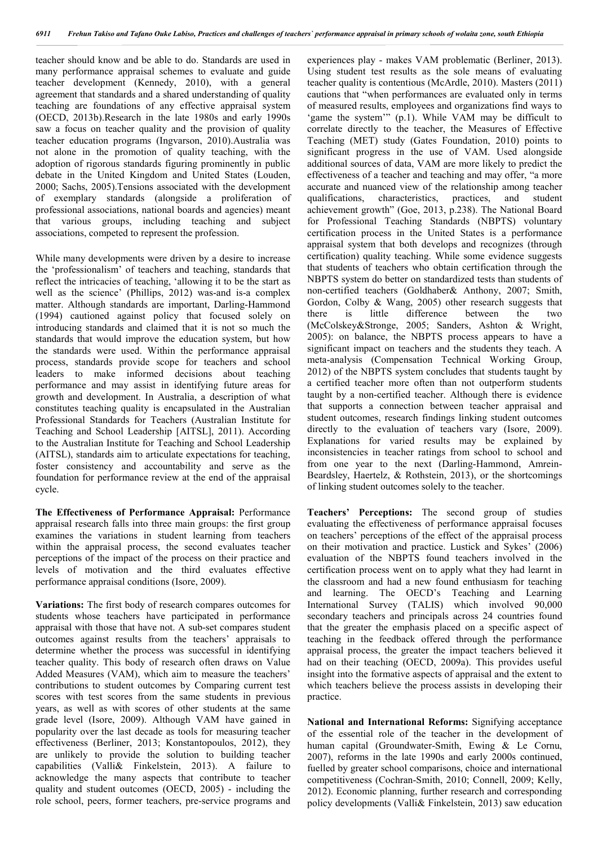teacher should know and be able to do. Standards are used in many performance appraisal schemes to evaluate and guide teacher development (Kennedy, 2010), with a general agreement that standards and a shared understanding of quality teaching are foundations of any effective appraisal system (OECD, 2013b).Research in the late 1980s and early 1990s saw a focus on teacher quality and the provision of quality teacher education programs (Ingvarson, 2010).Australia was not alone in the promotion of quality teaching, with the adoption of rigorous standards figuring prominently in public debate in the United Kingdom and United States (Louden, 2000; Sachs, 2005).Tensions associated with the development of exemplary standards (alongside a proliferation of professional associations, national boards and agencies) meant that various groups, including teaching and subject associations, competed to represent the profession.

While many developments were driven by a desire to increase the 'professionalism' of teachers and teaching, standards that reflect the intricacies of teaching, 'allowing it to be the start as well as the science' (Phillips, 2012) was-and is-a complex matter. Although standards are important, Darling-Hammond (1994) cautioned against policy that focused solely on introducing standards and claimed that it is not so much the standards that would improve the education system, but how the standards were used. Within the performance appraisal process, standards provide scope for teachers and school leaders to make informed decisions about teaching performance and may assist in identifying future areas for growth and development. In Australia, a description of what constitutes teaching quality is encapsulated in the Australian Professional Standards for Teachers (Australian Institute for Teaching and School Leadership [AITSL], 2011). According to the Australian Institute for Teaching and School Leadership (AITSL), standards aim to articulate expectations for teaching, foster consistency and accountability and serve as the foundation for performance review at the end of the appraisal cycle.

**The Effectiveness of Performance Appraisal:** Performance appraisal research falls into three main groups: the first group examines the variations in student learning from teachers within the appraisal process, the second evaluates teacher perceptions of the impact of the process on their practice and levels of motivation and the third evaluates effective performance appraisal conditions (Isore, 2009).

**Variations:** The first body of research compares outcomes for students whose teachers have participated in performance appraisal with those that have not. A sub-set compares student outcomes against results from the teachers' appraisals to determine whether the process was successful in identifying teacher quality. This body of research often draws on Value Added Measures (VAM), which aim to measure the teachers' contributions to student outcomes by Comparing current test scores with test scores from the same students in previous years, as well as with scores of other students at the same grade level (Isore, 2009). Although VAM have gained in popularity over the last decade as tools for measuring teacher effectiveness (Berliner, 2013; Konstantopoulos, 2012), they are unlikely to provide the solution to building teacher capabilities (Valli& Finkelstein, 2013). A failure to acknowledge the many aspects that contribute to teacher quality and student outcomes (OECD, 2005) - including the role school, peers, former teachers, pre-service programs and

experiences play - makes VAM problematic (Berliner, 2013). Using student test results as the sole means of evaluating teacher quality is contentious (McArdle, 2010). Masters (2011) cautions that "when performances are evaluated only in terms of measured results, employees and organizations find ways to 'game the system'" (p.1). While VAM may be difficult to correlate directly to the teacher, the Measures of Effective Teaching (MET) study (Gates Foundation, 2010) points to significant progress in the use of VAM. Used alongside additional sources of data, VAM are more likely to predict the effectiveness of a teacher and teaching and may offer, "a more accurate and nuanced view of the relationship among teacher qualifications, characteristics, practices, and student achievement growth" (Goe, 2013, p.238). The National Board for Professional Teaching Standards (NBPTS) voluntary certification process in the United States is a performance appraisal system that both develops and recognizes (through certification) quality teaching. While some evidence suggests that students of teachers who obtain certification through the NBPTS system do better on standardized tests than students of non-certified teachers (Goldhaber& Anthony, 2007; Smith, Gordon, Colby & Wang, 2005) other research suggests that there is little difference between the two (McColskey&Stronge, 2005; Sanders, Ashton & Wright, 2005): on balance, the NBPTS process appears to have a significant impact on teachers and the students they teach. A meta-analysis (Compensation Technical Working Group, 2012) of the NBPTS system concludes that students taught by a certified teacher more often than not outperform students taught by a non-certified teacher. Although there is evidence that supports a connection between teacher appraisal and student outcomes, research findings linking student outcomes directly to the evaluation of teachers vary (Isore, 2009). Explanations for varied results may be explained by inconsistencies in teacher ratings from school to school and from one year to the next (Darling-Hammond, Amrein-Beardsley, Haertelz, & Rothstein, 2013), or the shortcomings of linking student outcomes solely to the teacher.

**Teachers' Perceptions:** The second group of studies evaluating the effectiveness of performance appraisal focuses on teachers' perceptions of the effect of the appraisal process on their motivation and practice. Lustick and Sykes' (2006) evaluation of the NBPTS found teachers involved in the certification process went on to apply what they had learnt in the classroom and had a new found enthusiasm for teaching and learning. The OECD's Teaching and Learning International Survey (TALIS) which involved 90,000 secondary teachers and principals across 24 countries found that the greater the emphasis placed on a specific aspect of teaching in the feedback offered through the performance appraisal process, the greater the impact teachers believed it had on their teaching (OECD, 2009a). This provides useful insight into the formative aspects of appraisal and the extent to which teachers believe the process assists in developing their practice.

**National and International Reforms:** Signifying acceptance of the essential role of the teacher in the development of human capital (Groundwater-Smith, Ewing & Le Cornu, 2007), reforms in the late 1990s and early 2000s continued, fuelled by greater school comparisons, choice and international competitiveness (Cochran-Smith, 2010; Connell, 2009; Kelly, 2012). Economic planning, further research and corresponding policy developments (Valli& Finkelstein, 2013) saw education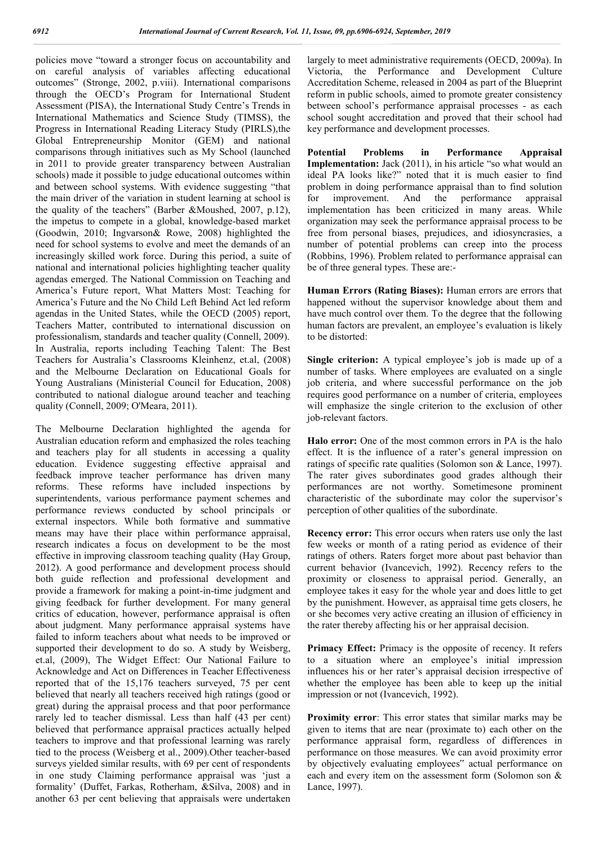policies move "toward a stronger focus on accountability and on careful analysis of variables affecting educational outcomes" (Stronge, 2002, p.viii). International comparisons through the OECD's Program for International Student Assessment (PISA), the International Study Centre's Trends in International Mathematics and Science Study (TIMSS), the Progress in International Reading Literacy Study (PIRLS),the Global Entrepreneurship Monitor (GEM) and national comparisons through initiatives such as My School (launched in 2011 to provide greater transparency between Australian schools) made it possible to judge educational outcomes within and between school systems. With evidence suggesting "that the main driver of the variation in student learning at school is the quality of the teachers" (Barber &Moushed, 2007, p.12), the impetus to compete in a global, knowledge-based market (Goodwin, 2010; Ingvarson& Rowe, 2008) highlighted the need for school systems to evolve and meet the demands of an increasingly skilled work force. During this period, a suite of national and international policies highlighting teacher quality agendas emerged. The National Commission on Teaching and America's Future report, What Matters Most: Teaching for America's Future and the No Child Left Behind Act led reform agendas in the United States, while the OECD (2005) report, Teachers Matter, contributed to international discussion on professionalism, standards and teacher quality (Connell, 2009). In Australia, reports including Teaching Talent: The Best Teachers for Australia's Classrooms Kleinhenz, et.al, (2008) and the Melbourne Declaration on Educational Goals for Young Australians (Ministerial Council for Education, 2008) contributed to national dialogue around teacher and teaching quality (Connell, 2009; O'Meara, 2011).

The Melbourne Declaration highlighted the agenda for Australian education reform and emphasized the roles teaching and teachers play for all students in accessing a quality education. Evidence suggesting effective appraisal and feedback improve teacher performance has driven many reforms. These reforms have included inspections by superintendents, various performance payment schemes and performance reviews conducted by school principals or external inspectors. While both formative and summative means may have their place within performance appraisal, research indicates a focus on development to be the most effective in improving classroom teaching quality (Hay Group, 2012). A good performance and development process should both guide reflection and professional development and provide a framework for making a point-in-time judgment and giving feedback for further development. For many general critics of education, however, performance appraisal is often about judgment. Many performance appraisal systems have failed to inform teachers about what needs to be improved or supported their development to do so. A study by Weisberg, et.al, (2009), The Widget Effect: Our National Failure to Acknowledge and Act on Differences in Teacher Effectiveness reported that of the 15,176 teachers surveyed, 75 per cent believed that nearly all teachers received high ratings (good or great) during the appraisal process and that poor performance rarely led to teacher dismissal. Less than half (43 per cent) believed that performance appraisal practices actually helped teachers to improve and that professional learning was rarely tied to the process (Weisberg et al., 2009).Other teacher-based surveys yielded similar results, with 69 per cent of respondents in one study Claiming performance appraisal was 'just a formality' (Duffet, Farkas, Rotherham, &Silva, 2008) and in another 63 per cent believing that appraisals were undertaken

largely to meet administrative requirements (OECD, 2009a). In Victoria, the Performance and Development Culture Accreditation Scheme, released in 2004 as part of the Blueprint reform in public schools, aimed to promote greater consistency between school's performance appraisal processes - as each school sought accreditation and proved that their school had key performance and development processes.

**Potential Problems in Performance Appraisal Implementation:** Jack (2011), in his article "so what would an ideal PA looks like?" noted that it is much easier to find problem in doing performance appraisal than to find solution for improvement. And the performance appraisal implementation has been criticized in many areas. While organization may seek the performance appraisal process to be free from personal biases, prejudices, and idiosyncrasies, a number of potential problems can creep into the process (Robbins, 1996). Problem related to performance appraisal can be of three general types. These are:-

**Human Errors (Rating Biases):** Human errors are errors that happened without the supervisor knowledge about them and have much control over them. To the degree that the following human factors are prevalent, an employee's evaluation is likely to be distorted:

**Single criterion:** A typical employee's job is made up of a number of tasks. Where employees are evaluated on a single job criteria, and where successful performance on the job requires good performance on a number of criteria, employees will emphasize the single criterion to the exclusion of other job-relevant factors.

**Halo error:** One of the most common errors in PA is the halo effect. It is the influence of a rater's general impression on ratings of specific rate qualities (Solomon son & Lance, 1997). The rater gives subordinates good grades although their performances are not worthy. Sometimesone prominent characteristic of the subordinate may color the supervisor's perception of other qualities of the subordinate.

**Recency error:** This error occurs when raters use only the last few weeks or month of a rating period as evidence of their ratings of others. Raters forget more about past behavior than current behavior (Ivancevich, 1992). Recency refers to the proximity or closeness to appraisal period. Generally, an employee takes it easy for the whole year and does little to get by the punishment. However, as appraisal time gets closers, he or she becomes very active creating an illusion of efficiency in the rater thereby affecting his or her appraisal decision.

**Primacy Effect:** Primacy is the opposite of recency. It refers to a situation where an employee's initial impression influences his or her rater's appraisal decision irrespective of whether the employee has been able to keep up the initial impression or not (Ivancevich, 1992).

**Proximity error**: This error states that similar marks may be given to items that are near (proximate to) each other on the performance appraisal form, regardless of differences in performance on those measures. We can avoid proximity error by objectively evaluating employees" actual performance on each and every item on the assessment form (Solomon son & Lance, 1997).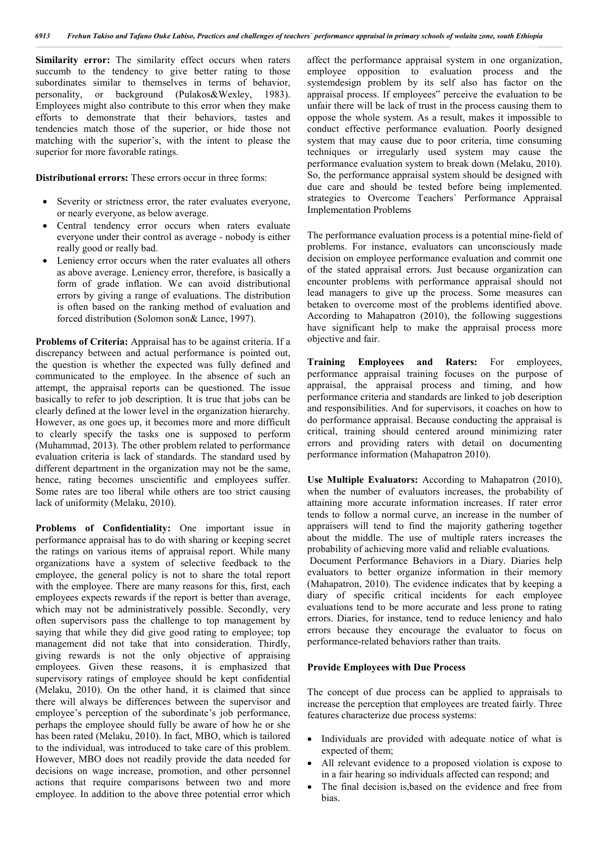**Similarity error:** The similarity effect occurs when raters succumb to the tendency to give better rating to those subordinates similar to themselves in terms of behavior, personality, or background (Pulakos&Wexley, 1983). Employees might also contribute to this error when they make efforts to demonstrate that their behaviors, tastes and tendencies match those of the superior, or hide those not matching with the superior's, with the intent to please the superior for more favorable ratings.

**Distributional errors:** These errors occur in three forms:

- Severity or strictness error, the rater evaluates everyone, or nearly everyone, as below average.
- Central tendency error occurs when raters evaluate everyone under their control as average - nobody is either really good or really bad.
- Leniency error occurs when the rater evaluates all others as above average. Leniency error, therefore, is basically a form of grade inflation. We can avoid distributional errors by giving a range of evaluations. The distribution is often based on the ranking method of evaluation and forced distribution (Solomon son& Lance, 1997).

**Problems of Criteria:** Appraisal has to be against criteria. If a discrepancy between and actual performance is pointed out, the question is whether the expected was fully defined and communicated to the employee. In the absence of such an attempt, the appraisal reports can be questioned. The issue basically to refer to job description. It is true that jobs can be clearly defined at the lower level in the organization hierarchy. However, as one goes up, it becomes more and more difficult to clearly specify the tasks one is supposed to perform (Muhammad, 2013). The other problem related to performance evaluation criteria is lack of standards. The standard used by different department in the organization may not be the same, hence, rating becomes unscientific and employees suffer. Some rates are too liberal while others are too strict causing lack of uniformity (Melaku, 2010).

**Problems of Confidentiality:** One important issue in performance appraisal has to do with sharing or keeping secret the ratings on various items of appraisal report. While many organizations have a system of selective feedback to the employee, the general policy is not to share the total report with the employee. There are many reasons for this, first, each employees expects rewards if the report is better than average, which may not be administratively possible. Secondly, very often supervisors pass the challenge to top management by saying that while they did give good rating to employee; top management did not take that into consideration. Thirdly, giving rewards is not the only objective of appraising employees. Given these reasons, it is emphasized that supervisory ratings of employee should be kept confidential (Melaku, 2010). On the other hand, it is claimed that since there will always be differences between the supervisor and employee's perception of the subordinate's job performance, perhaps the employee should fully be aware of how he or she has been rated (Melaku, 2010). In fact, MBO, which is tailored to the individual, was introduced to take care of this problem. However, MBO does not readily provide the data needed for decisions on wage increase, promotion, and other personnel actions that require comparisons between two and more employee. In addition to the above three potential error which affect the performance appraisal system in one organization, employee opposition to evaluation process and the systemdesign problem by its self also has factor on the appraisal process. If employees" perceive the evaluation to be unfair there will be lack of trust in the process causing them to oppose the whole system. As a result, makes it impossible to conduct effective performance evaluation. Poorly designed system that may cause due to poor criteria, time consuming techniques or irregularly used system may cause the performance evaluation system to break down (Melaku, 2010). So, the performance appraisal system should be designed with due care and should be tested before being implemented. strategies to Overcome Teachers` Performance Appraisal Implementation Problems

The performance evaluation process is a potential mine-field of problems. For instance, evaluators can unconsciously made decision on employee performance evaluation and commit one of the stated appraisal errors. Just because organization can encounter problems with performance appraisal should not lead managers to give up the process. Some measures can betaken to overcome most of the problems identified above. According to Mahapatron (2010), the following suggestions have significant help to make the appraisal process more objective and fair.

**Training Employees and Raters:** For employees, performance appraisal training focuses on the purpose of appraisal, the appraisal process and timing, and how performance criteria and standards are linked to job description and responsibilities. And for supervisors, it coaches on how to do performance appraisal. Because conducting the appraisal is critical, training should centered around minimizing rater errors and providing raters with detail on documenting performance information (Mahapatron 2010).

**Use Multiple Evaluators:** According to Mahapatron (2010), when the number of evaluators increases, the probability of attaining more accurate information increases. If rater error tends to follow a normal curve, an increase in the number of appraisers will tend to find the majority gathering together about the middle. The use of multiple raters increases the probability of achieving more valid and reliable evaluations.

Document Performance Behaviors in a Diary. Diaries help evaluators to better organize information in their memory (Mahapatron, 2010). The evidence indicates that by keeping a diary of specific critical incidents for each employee evaluations tend to be more accurate and less prone to rating errors. Diaries, for instance, tend to reduce leniency and halo errors because they encourage the evaluator to focus on performance-related behaviors rather than traits.

### **Provide Employees with Due Process**

The concept of due process can be applied to appraisals to increase the perception that employees are treated fairly. Three features characterize due process systems:

- Individuals are provided with adequate notice of what is expected of them;
- All relevant evidence to a proposed violation is expose to in a fair hearing so individuals affected can respond; and
- The final decision is,based on the evidence and free from bias.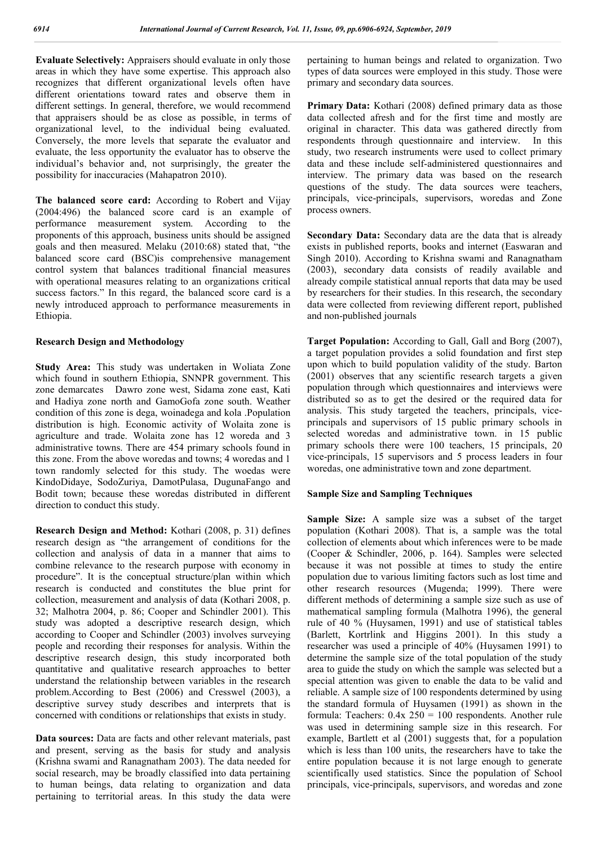**Evaluate Selectively:** Appraisers should evaluate in only those areas in which they have some expertise. This approach also recognizes that different organizational levels often have different orientations toward rates and observe them in different settings. In general, therefore, we would recommend that appraisers should be as close as possible, in terms of organizational level, to the individual being evaluated. Conversely, the more levels that separate the evaluator and evaluate, the less opportunity the evaluator has to observe the individual's behavior and, not surprisingly, the greater the possibility for inaccuracies (Mahapatron 2010).

**The balanced score card:** According to Robert and Vijay (2004:496) the balanced score card is an example of performance measurement system. According to the proponents of this approach, business units should be assigned goals and then measured. Melaku (2010:68) stated that, "the balanced score card (BSC)is comprehensive management control system that balances traditional financial measures with operational measures relating to an organizations critical success factors." In this regard, the balanced score card is a newly introduced approach to performance measurements in Ethiopia.

### **Research Design and Methodology**

**Study Area:** This study was undertaken in Woliata Zone which found in southern Ethiopia, SNNPR government. This zone demarcates Dawro zone west, Sidama zone east, Kati and Hadiya zone north and GamoGofa zone south. Weather condition of this zone is dega, woinadega and kola .Population distribution is high. Economic activity of Wolaita zone is agriculture and trade. Wolaita zone has 12 woreda and 3 administrative towns. There are 454 primary schools found in this zone. From the above woredas and towns; 4 woredas and 1 town randomly selected for this study. The woedas were KindoDidaye, SodoZuriya, DamotPulasa, DugunaFango and Bodit town; because these woredas distributed in different direction to conduct this study.

**Research Design and Method:** Kothari (2008, p. 31) defines research design as "the arrangement of conditions for the collection and analysis of data in a manner that aims to combine relevance to the research purpose with economy in procedure". It is the conceptual structure/plan within which research is conducted and constitutes the blue print for collection, measurement and analysis of data (Kothari 2008, p. 32; Malhotra 2004, p. 86; Cooper and Schindler 2001). This study was adopted a descriptive research design, which according to Cooper and Schindler (2003) involves surveying people and recording their responses for analysis. Within the descriptive research design, this study incorporated both quantitative and qualitative research approaches to better understand the relationship between variables in the research problem.According to Best (2006) and Cresswel (2003), a descriptive survey study describes and interprets that is concerned with conditions or relationships that exists in study.

**Data sources:** Data are facts and other relevant materials, past and present, serving as the basis for study and analysis (Krishna swami and Ranagnatham 2003). The data needed for social research, may be broadly classified into data pertaining to human beings, data relating to organization and data pertaining to territorial areas. In this study the data were pertaining to human beings and related to organization. Two types of data sources were employed in this study. Those were primary and secondary data sources.

**Primary Data:** Kothari (2008) defined primary data as those data collected afresh and for the first time and mostly are original in character. This data was gathered directly from respondents through questionnaire and interview. In this study, two research instruments were used to collect primary data and these include self-administered questionnaires and interview. The primary data was based on the research questions of the study. The data sources were teachers, principals, vice-principals, supervisors, woredas and Zone process owners.

**Secondary Data:** Secondary data are the data that is already exists in published reports, books and internet (Easwaran and Singh 2010). According to Krishna swami and Ranagnatham (2003), secondary data consists of readily available and already compile statistical annual reports that data may be used by researchers for their studies. In this research, the secondary data were collected from reviewing different report, published and non-published journals

**Target Population:** According to Gall, Gall and Borg (2007), a target population provides a solid foundation and first step upon which to build population validity of the study. Barton (2001) observes that any scientific research targets a given population through which questionnaires and interviews were distributed so as to get the desired or the required data for analysis. This study targeted the teachers, principals, viceprincipals and supervisors of 15 public primary schools in selected woredas and administrative town. in 15 public primary schools there were 100 teachers, 15 principals, 20 vice-principals, 15 supervisors and 5 process leaders in four woredas, one administrative town and zone department.

### **Sample Size and Sampling Techniques**

**Sample Size:** A sample size was a subset of the target population (Kothari 2008). That is, a sample was the total collection of elements about which inferences were to be made (Cooper & Schindler, 2006, p. 164). Samples were selected because it was not possible at times to study the entire population due to various limiting factors such as lost time and other research resources (Mugenda; 1999). There were different methods of determining a sample size such as use of mathematical sampling formula (Malhotra 1996), the general rule of 40 % (Huysamen, 1991) and use of statistical tables (Barlett, Kortrlink and Higgins 2001). In this study a researcher was used a principle of 40% (Huysamen 1991) to determine the sample size of the total population of the study area to guide the study on which the sample was selected but a special attention was given to enable the data to be valid and reliable. A sample size of 100 respondents determined by using the standard formula of Huysamen (1991) as shown in the formula: Teachers: 0.4x 250 = 100 respondents. Another rule was used in determining sample size in this research. For example, Bartlett et al (2001) suggests that, for a population which is less than 100 units, the researchers have to take the entire population because it is not large enough to generate scientifically used statistics. Since the population of School principals, vice-principals, supervisors, and woredas and zone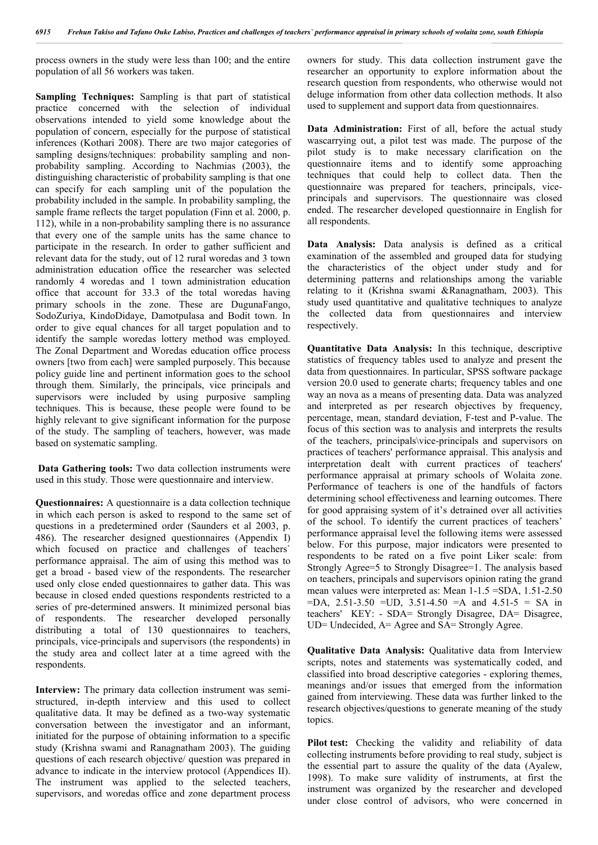process owners in the study were less than 100; and the entire population of all 56 workers was taken.

**Sampling Techniques:** Sampling is that part of statistical practice concerned with the selection of individual observations intended to yield some knowledge about the population of concern, especially for the purpose of statistical inferences (Kothari 2008). There are two major categories of sampling designs/techniques: probability sampling and nonprobability sampling. According to Nachmias (2003), the distinguishing characteristic of probability sampling is that one can specify for each sampling unit of the population the probability included in the sample. In probability sampling, the sample frame reflects the target population (Finn et al. 2000, p. 112), while in a non-probability sampling there is no assurance that every one of the sample units has the same chance to participate in the research. In order to gather sufficient and relevant data for the study, out of 12 rural woredas and 3 town administration education office the researcher was selected randomly 4 woredas and 1 town administration education office that account for 33.3 of the total woredas having primary schools in the zone. These are DugunaFango, SodoZuriya, KindoDidaye, Damotpulasa and Bodit town. In order to give equal chances for all target population and to identify the sample woredas lottery method was employed. The Zonal Department and Woredas education office process owners [two from each] were sampled purposely. This because policy guide line and pertinent information goes to the school through them. Similarly, the principals, vice principals and supervisors were included by using purposive sampling techniques. This is because, these people were found to be highly relevant to give significant information for the purpose of the study. The sampling of teachers, however, was made based on systematic sampling.

**Data Gathering tools:** Two data collection instruments were used in this study. Those were questionnaire and interview.

**Questionnaires:** A questionnaire is a data collection technique in which each person is asked to respond to the same set of questions in a predetermined order (Saunders et al 2003, p. 486). The researcher designed questionnaires (Appendix I) which focused on practice and challenges of teachers' performance appraisal. The aim of using this method was to get a broad - based view of the respondents. The researcher used only close ended questionnaires to gather data. This was because in closed ended questions respondents restricted to a series of pre-determined answers. It minimized personal bias of respondents. The researcher developed personally distributing a total of 130 questionnaires to teachers, principals, vice-principals and supervisors (the respondents) in the study area and collect later at a time agreed with the respondents.

**Interview:** The primary data collection instrument was semistructured, in-depth interview and this used to collect qualitative data. It may be defined as a two-way systematic conversation between the investigator and an informant, initiated for the purpose of obtaining information to a specific study (Krishna swami and Ranagnatham 2003). The guiding questions of each research objective/ question was prepared in advance to indicate in the interview protocol (Appendices II). The instrument was applied to the selected teachers, supervisors, and woredas office and zone department process

owners for study. This data collection instrument gave the researcher an opportunity to explore information about the research question from respondents, who otherwise would not deluge information from other data collection methods. It also used to supplement and support data from questionnaires.

**Data Administration:** First of all, before the actual study wascarrying out, a pilot test was made. The purpose of the pilot study is to make necessary clarification on the questionnaire items and to identify some approaching techniques that could help to collect data. Then the questionnaire was prepared for teachers, principals, viceprincipals and supervisors. The questionnaire was closed ended. The researcher developed questionnaire in English for all respondents.

**Data Analysis:** Data analysis is defined as a critical examination of the assembled and grouped data for studying the characteristics of the object under study and for determining patterns and relationships among the variable relating to it (Krishna swami &Ranagnatham, 2003). This study used quantitative and qualitative techniques to analyze the collected data from questionnaires and interview respectively.

**Quantitative Data Analysis:** In this technique, descriptive statistics of frequency tables used to analyze and present the data from questionnaires. In particular, SPSS software package version 20.0 used to generate charts; frequency tables and one way an nova as a means of presenting data. Data was analyzed and interpreted as per research objectives by frequency, percentage, mean, standard deviation, F-test and P-value. The focus of this section was to analysis and interprets the results of the teachers, principals\vice-principals and supervisors on practices of teachers' performance appraisal. This analysis and interpretation dealt with current practices of teachers' performance appraisal at primary schools of Wolaita zone. Performance of teachers is one of the handfuls of factors determining school effectiveness and learning outcomes. There for good appraising system of it's detrained over all activities of the school. To identify the current practices of teachers' performance appraisal level the following items were assessed below. For this purpose, major indicators were presented to respondents to be rated on a five point Liker scale: from Strongly Agree=5 to Strongly Disagree=1. The analysis based on teachers, principals and supervisors opinion rating the grand mean values were interpreted as: Mean 1-1.5 =SDA, 1.51-2.50  $=DA$ , 2.51-3.50  $=UD$ , 3.51-4.50  $=A$  and 4.51-5  $= SA$  in teachers' KEY: - SDA= Strongly Disagree, DA= Disagree,  $UD=$  Undecided,  $A=$  Agree and  $SA=$  Strongly Agree.

**Qualitative Data Analysis:** Qualitative data from Interview scripts, notes and statements was systematically coded, and classified into broad descriptive categories - exploring themes, meanings and/or issues that emerged from the information gained from interviewing. These data was further linked to the research objectives/questions to generate meaning of the study topics.

Pilot test: Checking the validity and reliability of data collecting instruments before providing to real study, subject is the essential part to assure the quality of the data (Ayalew, 1998). To make sure validity of instruments, at first the instrument was organized by the researcher and developed under close control of advisors, who were concerned in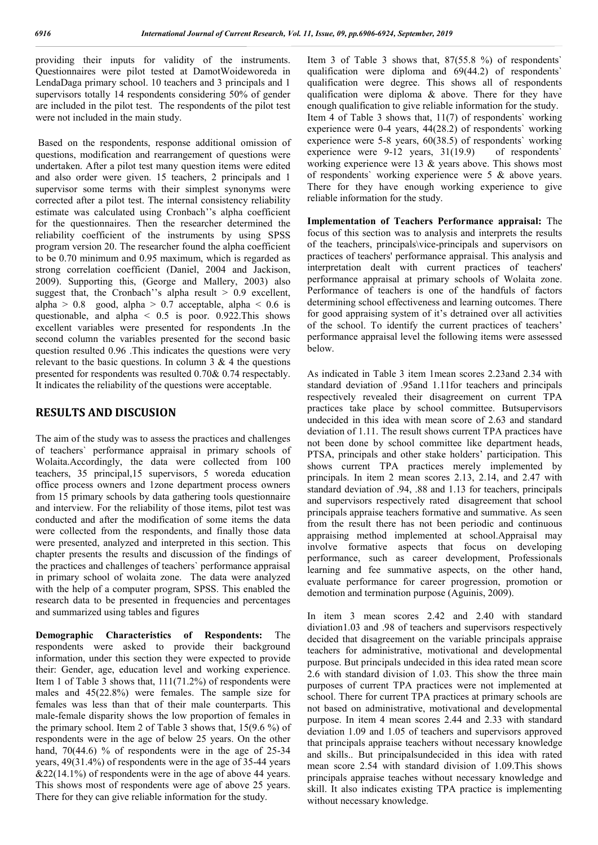providing their inputs for validity of the instruments. Questionnaires were pilot tested at DamotWoideworeda in LendaDaga primary school. 10 teachers and 3 principals and 1 supervisors totally 14 respondents considering 50% of gender are included in the pilot test. The respondents of the pilot test were not included in the main study.

Based on the respondents, response additional omission of questions, modification and rearrangement of questions were undertaken. After a pilot test many question items were edited and also order were given. 15 teachers, 2 principals and 1 supervisor some terms with their simplest synonyms were corrected after a pilot test. The internal consistency reliability estimate was calculated using Cronbach''s alpha coefficient for the questionnaires. Then the researcher determined the reliability coefficient of the instruments by using SPSS program version 20. The researcher found the alpha coefficient to be 0.70 minimum and 0.95 maximum, which is regarded as strong correlation coefficient (Daniel, 2004 and Jackison, 2009). Supporting this, (George and Mallery, 2003) also suggest that, the Cronbach''s alpha result  $> 0.9$  excellent, alpha >  $0.8$  good, alpha >  $0.7$  acceptable, alpha <  $0.6$  is questionable, and alpha  $\leq 0.5$  is poor. 0.922. This shows excellent variables were presented for respondents .In the second column the variables presented for the second basic question resulted 0.96 .This indicates the questions were very relevant to the basic questions. In column  $3 \& 4$  the questions presented for respondents was resulted 0.70& 0.74 respectably. It indicates the reliability of the questions were acceptable.

## **RESULTS AND DISCUSION**

The aim of the study was to assess the practices and challenges of teachers` performance appraisal in primary schools of Wolaita.Accordingly, the data were collected from 100 teachers, 35 principal,15 supervisors, 5 woreda education office process owners and 1zone department process owners from 15 primary schools by data gathering tools questionnaire and interview. For the reliability of those items, pilot test was conducted and after the modification of some items the data were collected from the respondents, and finally those data were presented, analyzed and interpreted in this section. This chapter presents the results and discussion of the findings of the practices and challenges of teachers` performance appraisal in primary school of wolaita zone. The data were analyzed with the help of a computer program, SPSS. This enabled the research data to be presented in frequencies and percentages and summarized using tables and figures

**Demographic Characteristics of Respondents:** The respondents were asked to provide their background information, under this section they were expected to provide their: Gender, age, education level and working experience. Item 1 of Table 3 shows that, 111(71.2%) of respondents were males and 45(22.8%) were females. The sample size for females was less than that of their male counterparts. This male-female disparity shows the low proportion of females in the primary school. Item 2 of Table 3 shows that, 15(9.6 %) of respondents were in the age of below 25 years. On the other hand,  $70(44.6)$  % of respondents were in the age of  $25-34$ years, 49(31.4%) of respondents were in the age of 35-44 years  $&22(14.1\%)$  of respondents were in the age of above 44 years. This shows most of respondents were age of above 25 years. There for they can give reliable information for the study.

Item 3 of Table 3 shows that, 87(55.8 %) of respondents` qualification were diploma and 69(44.2) of respondents` qualification were degree. This shows all of respondents qualification were diploma & above. There for they have enough qualification to give reliable information for the study. Item 4 of Table 3 shows that, 11(7) of respondents` working experience were 0-4 years, 44(28.2) of respondents` working experience were 5-8 years, 60(38.5) of respondents` working experience were  $9-12$  years,  $31(19.9)$  of respondents' working experience were 13 & years above. This shows most of respondents` working experience were 5 & above years. There for they have enough working experience to give reliable information for the study.

**Implementation of Teachers Performance appraisal:** The focus of this section was to analysis and interprets the results of the teachers, principals\vice-principals and supervisors on practices of teachers' performance appraisal. This analysis and interpretation dealt with current practices of teachers' performance appraisal at primary schools of Wolaita zone. Performance of teachers is one of the handfuls of factors determining school effectiveness and learning outcomes. There for good appraising system of it's detrained over all activities of the school. To identify the current practices of teachers' performance appraisal level the following items were assessed below.

As indicated in Table 3 item 1mean scores 2.23and 2.34 with standard deviation of .95and 1.11for teachers and principals respectively revealed their disagreement on current TPA practices take place by school committee. Butsupervisors undecided in this idea with mean score of 2.63 and standard deviation of 1.11. The result shows current TPA practices have not been done by school committee like department heads, PTSA, principals and other stake holders' participation. This shows current TPA practices merely implemented by principals. In item 2 mean scores 2.13, 2.14, and 2.47 with standard deviation of .94, .88 and 1.13 for teachers, principals and supervisors respectively rated disagreement that school principals appraise teachers formative and summative. As seen from the result there has not been periodic and continuous appraising method implemented at school.Appraisal may involve formative aspects that focus on developing performance, such as career development, Professionals learning and fee summative aspects, on the other hand, evaluate performance for career progression, promotion or demotion and termination purpose (Aguinis, 2009).

In item 3 mean scores 2.42 and 2.40 with standard diviation1.03 and .98 of teachers and supervisors respectively decided that disagreement on the variable principals appraise teachers for administrative, motivational and developmental purpose. But principals undecided in this idea rated mean score 2.6 with standard division of 1.03. This show the three main purposes of current TPA practices were not implemented at school. There for current TPA practices at primary schools are not based on administrative, motivational and developmental purpose. In item 4 mean scores 2.44 and 2.33 with standard deviation 1.09 and 1.05 of teachers and supervisors approved that principals appraise teachers without necessary knowledge and skills.. But principalsundecided in this idea with rated mean score 2.54 with standard division of 1.09.This shows principals appraise teaches without necessary knowledge and skill. It also indicates existing TPA practice is implementing without necessary knowledge.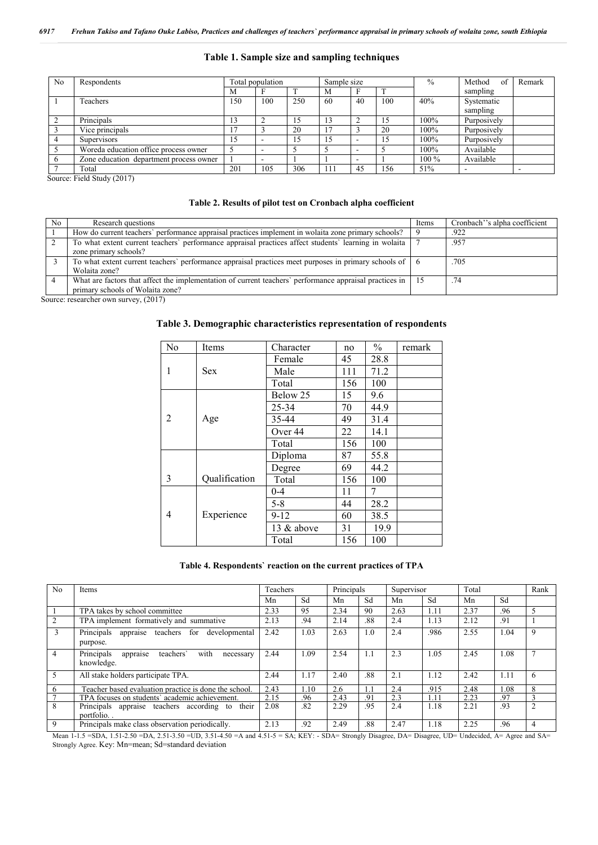### **Table 1. Sample size and sampling techniques**

| N <sub>0</sub> | Respondents                             |      | Total population |     |     | Sample size              |     | $\%$    | Method<br>of | Remark |
|----------------|-----------------------------------------|------|------------------|-----|-----|--------------------------|-----|---------|--------------|--------|
|                |                                         | М    |                  |     | M   |                          |     |         | sampling     |        |
|                | Teachers                                | l 50 | 100              | 250 | 60  | 40                       | 100 | 40%     | Systematic   |        |
|                |                                         |      |                  |     |     |                          |     |         | sampling     |        |
|                | Principals                              | 13   |                  |     | 1.5 |                          | 15  | 100%    | Purposively  |        |
|                | Vice principals                         |      |                  | 20  |     |                          | 20  | 100%    | Purposively  |        |
|                | <b>Supervisors</b>                      | 15   |                  |     | 15  |                          | 15  | 100%    | Purposively  |        |
|                | Woreda education office process owner   |      |                  |     |     |                          |     | 100%    | Available    |        |
|                | Zone education department process owner |      |                  |     |     | $\overline{\phantom{a}}$ |     | $100\%$ | Available    |        |
|                | Total                                   | 201  | 105              | 306 | 111 | 45                       | 156 | 51%     | -            | -      |

Source: Field Study (2017)

### **Table 2. Results of pilot test on Cronbach alpha coefficient**

| No. | Research questions                                                                                                                          | Items | Cronbach" s alpha coefficient |
|-----|---------------------------------------------------------------------------------------------------------------------------------------------|-------|-------------------------------|
|     | How do current teachers' performance appraisal practices implement in wolaita zone primary schools?                                         |       | .922                          |
|     | To what extent current teachers' performance appraisal practices affect students' learning in wolaita<br>zone primary schools?              |       | .957                          |
|     | To what extent current teachers' performance appraisal practices meet purposes in primary schools of 6<br>Wolaita zone?                     |       | .705                          |
|     | What are factors that affect the implementation of current teachers' performance appraisal practices in<br>primary schools of Wolaita zone? |       | .74                           |

Source: researcher own survey, (2017)

## **Table 3. Demographic characteristics representation of respondents**

| N <sub>0</sub> | Items         | Character    | no  | $\%$ | remark |
|----------------|---------------|--------------|-----|------|--------|
|                |               | Female       | 45  | 28.8 |        |
| 1              | <b>Sex</b>    | Male         | 111 | 71.2 |        |
|                |               | Total        | 156 | 100  |        |
|                |               | Below 25     | 15  | 9.6  |        |
|                |               | 25-34        | 70  | 44.9 |        |
| 2              | Age           | 35-44        | 49  | 31.4 |        |
|                |               | Over 44      | 22  | 14.1 |        |
|                |               | Total        | 156 | 100  |        |
|                |               | Diploma      | 87  | 55.8 |        |
|                |               | Degree       | 69  | 44.2 |        |
| 3              | Qualification | Total        | 156 | 100  |        |
|                |               | 0-4          | 11  | 7    |        |
|                |               | $5 - 8$      | 44  | 28.2 |        |
| 4              | Experience    | $9 - 12$     | 60  | 38.5 |        |
|                |               | 13 $&$ above | 31  | 19.9 |        |
|                |               | Total        | 156 | 100  |        |

### **Table 4. Respondents` reaction on the current practices of TPA**

| N <sub>0</sub> | Items                                                                                                                                                     | Teachers |      |      | Principals |      | Supervisor | Total |      | Rank           |
|----------------|-----------------------------------------------------------------------------------------------------------------------------------------------------------|----------|------|------|------------|------|------------|-------|------|----------------|
|                |                                                                                                                                                           | Mn       | Sd   | Mn   | Sd         | Mn   | Sd         | Mn    | Sd   |                |
|                | TPA takes by school committee                                                                                                                             | 2.33     | 95   | 2.34 | 90         | 2.63 | 1.11       | 2.37  | .96  | 5              |
| 2              | TPA implement formatively and summative                                                                                                                   |          | .94  | 2.14 | .88        | 2.4  | 1.13       | 2.12  | .91  |                |
| 3              | Principals<br>teachers for developmental<br>appraise<br>purpose.                                                                                          | 2.42     | 1.03 | 2.63 | 1.0        | 2.4  | .986       | 2.55  | 1.04 | 9              |
| $\overline{4}$ | with<br>Principals<br>teachers'<br>appraise<br>necessary<br>knowledge.                                                                                    | 2.44     | 1.09 | 2.54 | 1.1        | 2.3  | 1.05       | 2.45  | 1.08 |                |
| $\overline{5}$ | All stake holders participate TPA.                                                                                                                        | 2.44     | 1.17 | 2.40 | .88        | 2.1  | 1.12       | 2.42  | 1.11 | 6              |
| 6              | Teacher based evaluation practice is done the school.                                                                                                     | 2.43     | 1.10 | 2.6  |            | 2.4  | .915       | 2.48  | .08  | 8              |
|                | TPA focuses on students' academic achievement.                                                                                                            | 2.15     | 96   | 2.43 | .91        | 2.3  | 1 1 1      | 2.23  | 97   |                |
| 8              | Principals appraise teachers according to their<br>portfolio.                                                                                             | 2.08     | .82  | 2.29 | .95        | 2.4  | 1.18       | 2.21  | .93  | $\overline{2}$ |
| 9              | Principals make class observation periodically.                                                                                                           | 2.13     | .92  | 2.49 | .88        | 2.47 | 1.18       | 2.25  | .96  | 4              |
|                | Mean 1-1.5 =SDA, 1.51-2.50 =DA, 2.51-3.50 =UD, 3.51-4.50 =A and 4.51-5 = SA; KEY: - SDA= Strongly Disagree, DA= Disagree, UD= Undecided, A= Agree and SA= |          |      |      |            |      |            |       |      |                |

Strongly Agree. Key: Mn=mean; Sd=standard deviation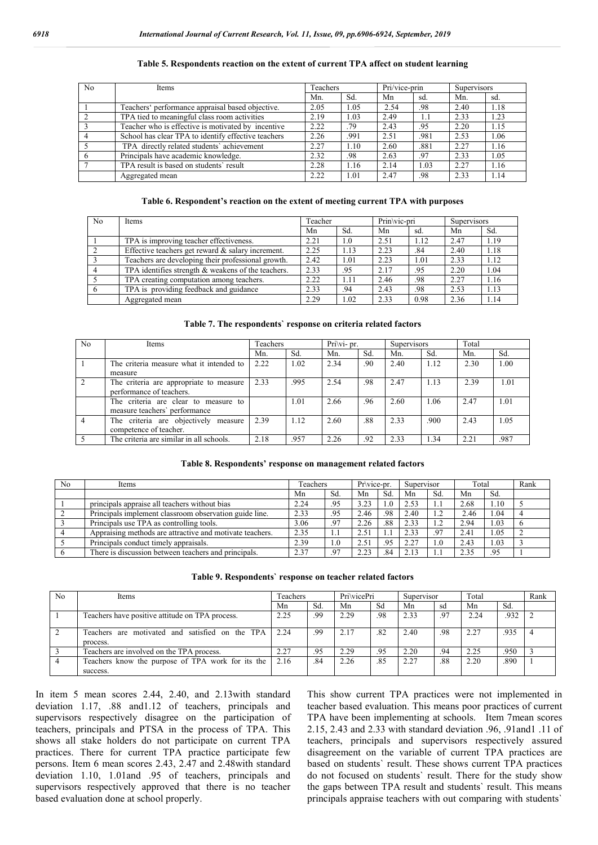| N <sub>0</sub> | <b>Items</b>                                        | Teachers |      | Pri/vice-prin |      | Supervisors |      |
|----------------|-----------------------------------------------------|----------|------|---------------|------|-------------|------|
|                |                                                     | Mn.      | Sd.  | Mn            | sd.  | Mn.         | sd.  |
|                | Teachers' performance appraisal based objective.    | 2.05     | 1.05 | 2.54          | .98  | 2.40        | 1.18 |
|                | TPA tied to meaningful class room activities        | 2.19     | 1.03 | 2.49          | 1.1  | 2.33        | 1.23 |
|                | Teacher who is effective is motivated by incentive  |          | .79  | 2.43          | .95  | 2.20        | 1.15 |
|                | School has clear TPA to identify effective teachers |          | .991 | 2.51          | .981 | 2.53        | 1.06 |
|                | TPA directly related students' achievement          |          | 1.10 | 2.60          | .881 | 2.27        | 1.16 |
|                | Principals have academic knowledge.                 |          | .98  | 2.63          | .97  | 2.33        | 1.05 |
|                | TPA result is based on students' result             |          | 1.16 | 2.14          | 1.03 | 2.27        | 1.16 |
|                | Aggregated mean                                     | 2.22     | l.O1 | 2.47          | .98  | 2.33        | 1.14 |

#### **Table 5. Respondents reaction on the extent of current TPA affect on student learning**

### **Table 6. Respondent's reaction on the extent of meeting current TPA with purposes**

| N <sub>0</sub> | Items                                                | Teacher |         | Prin\vic-pri |      | Supervisors |      |
|----------------|------------------------------------------------------|---------|---------|--------------|------|-------------|------|
|                |                                                      | Mn      | Sd.     | Mn           | sd.  | Mn          | Sd.  |
|                | TPA is improving teacher effectiveness.              | 2.21    | $1.0\,$ | 2.51         | 1.12 | 2.47        | 1.19 |
|                | Effective teachers get reward $\&$ salary increment. | 2.25    | 1.13    | 2.23         | .84  | 2.40        | 1.18 |
|                | Teachers are developing their professional growth.   |         | 1.01    | 2.23         | 1.01 | 2.33        | 1.12 |
|                | TPA identifies strength & weakens of the teachers.   |         | .95     | 2.17         | .95  | 2.20        | 1.04 |
|                | TPA creating computation among teachers.             |         | 1.11    | 2.46         | .98  | 2.27        | 1.16 |
|                | TPA is providing feedback and guidance               | 2.33    | .94     | 2.43         | .98  | 2.53        | 1.13 |
|                | Aggregated mean                                      | 2.29    | 1.02    | 2.33         | 0.98 | 2.36        | 1.14 |

#### **Table 7. The respondents` response on criteria related factors**

| N <sub>0</sub> | Items                                                                 | Teachers |      |      | Pri\vi- pr. |      | <b>Supervisors</b> |      |      |
|----------------|-----------------------------------------------------------------------|----------|------|------|-------------|------|--------------------|------|------|
|                |                                                                       | Mn.      | Sd.  | Mn.  | Sd.         | Mn.  | Sd.                | Mn.  | Sd.  |
|                | The criteria measure what it intended to<br>measure                   | 2.22     | 1.02 | 2.34 | .90         | 2.40 | 1.12               | 2.30 | 1.00 |
|                | The criteria are appropriate to measure<br>performance of teachers.   | 2.33     | .995 | 2.54 | .98         | 2.47 | 1.13               | 2.39 | 1.01 |
|                | The criteria are clear to measure to<br>measure teachers' performance |          | 1.01 | 2.66 | .96         | 2.60 | 1.06               | 2.47 | 1.01 |
|                | The criteria are objectively measure<br>competence of teacher.        | 2.39     | 1.12 | 2.60 | .88         | 2.33 | .900               | 2.43 | 1.05 |
|                | The criteria are similar in all schools.                              | 2.18     | .957 | 2.26 | .92         | 2.33 | . 34               | 2.21 | .987 |

#### **Table 8. Respondents' response on management related factors**

| No | Items                                                    | Teachers |     | Pr\vice-pr. |     |      | Supervisor |      | Total |          |
|----|----------------------------------------------------------|----------|-----|-------------|-----|------|------------|------|-------|----------|
|    |                                                          | Mn       | Sd  | Mn          | Sd. | Mn   | Sd         | Mn   | Sd.   |          |
|    | principals appraise all teachers without bias            | 2.24     | .95 | 3.23        | 1.0 | 2.53 |            | 2.68 | 1.10  |          |
|    | Principals implement classroom observation guide line.   | 2.33     | .95 | 2.46        | .98 | 2.40 | 1.2        | 2.46 | 1.04  |          |
|    | Principals use TPA as controlling tools.                 | 3.06     | .97 | 2.26        | .88 | 2.33 | 1.2        | 2.94 | 1.03  | $\sigma$ |
|    | Appraising methods are attractive and motivate teachers. | 2.35     | 1.1 | 2.51        |     | 2.33 | .97        | 2.41 | 1.05  |          |
|    | Principals conduct timely appraisals.                    | 2.39     | 1.0 | 2.51        | .95 | 2.27 | 1.0        | 2.43 | 1.03  |          |
|    | There is discussion between teachers and principals.     | 2.37     | .97 | 2.23        | .84 | 2.13 |            | 2.35 | .95   |          |

|  |  | Table 9. Respondents' response on teacher related factors |  |  |  |  |
|--|--|-----------------------------------------------------------|--|--|--|--|
|--|--|-----------------------------------------------------------|--|--|--|--|

| N <sub>0</sub> | Items                                                         | Teachers |     | Pri\vicePri |     | Supervisor |     | Total |      | Rank |
|----------------|---------------------------------------------------------------|----------|-----|-------------|-----|------------|-----|-------|------|------|
|                |                                                               | Mn       | Sd. | Mn          | Sd  | Mn         | sd  | Mn    | Sd.  |      |
|                | Teachers have positive attitude on TPA process.               | 2.25     | .99 | 2.29        | .98 | 2.33       | .97 | 2.24  | .932 |      |
|                | Teachers are motivated and satisfied on the TPA<br>process.   | 2.24     | .99 | 2.17        | .82 | 2.40       | .98 | 2.27  | .935 |      |
|                | Teachers are involved on the TPA process.                     | 2.27     | .95 | 2.29        | .95 | 2.20       | .94 | 2.25  | .950 |      |
|                | Teachers know the purpose of TPA work for its the<br>success. | 2.16     | .84 | 2.26        | .85 | 2.27       | .88 | 2.20  | .890 |      |

In item 5 mean scores 2.44, 2.40, and 2.13with standard deviation 1.17, .88 and1.12 of teachers, principals and supervisors respectively disagree on the participation of teachers, principals and PTSA in the process of TPA. This shows all stake holders do not participate on current TPA practices. There for current TPA practice participate few persons. Item 6 mean scores 2.43, 2.47 and 2.48with standard deviation 1.10, 1.01and .95 of teachers, principals and supervisors respectively approved that there is no teacher based evaluation done at school properly.

This show current TPA practices were not implemented in teacher based evaluation. This means poor practices of current TPA have been implementing at schools. Item 7mean scores 2.15, 2.43 and 2.33 with standard deviation .96, .91and1 .11 of teachers, principals and supervisors respectively assured disagreement on the variable of current TPA practices are based on students` result. These shows current TPA practices do not focused on students` result. There for the study show the gaps between TPA result and students` result. This means principals appraise teachers with out comparing with students`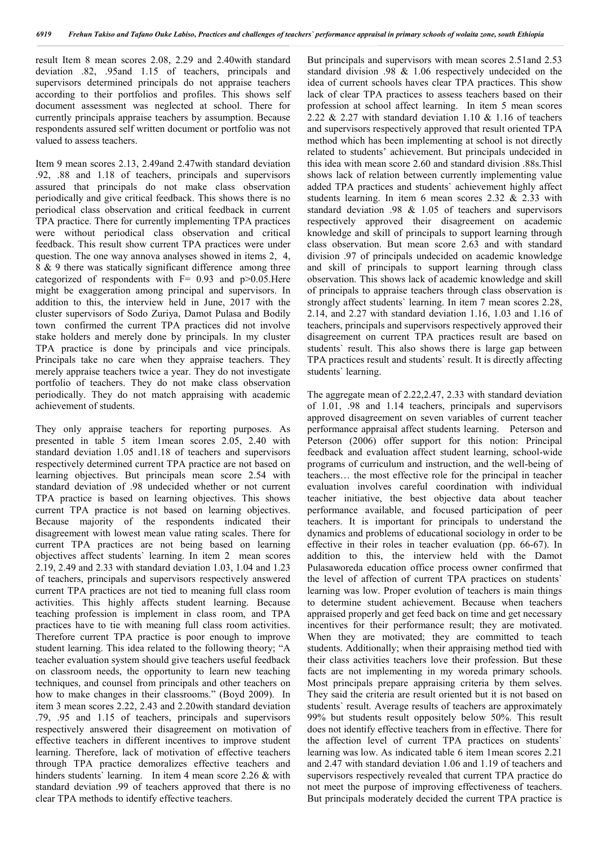result Item 8 mean scores 2.08, 2.29 and 2.40with standard deviation .82, .95and 1.15 of teachers, principals and supervisors determined principals do not appraise teachers according to their portfolios and profiles. This shows self document assessment was neglected at school. There for currently principals appraise teachers by assumption. Because respondents assured self written document or portfolio was not valued to assess teachers.

Item 9 mean scores 2.13, 2.49and 2.47with standard deviation .92, .88 and 1.18 of teachers, principals and supervisors assured that principals do not make class observation periodically and give critical feedback. This shows there is no periodical class observation and critical feedback in current TPA practice. There for currently implementing TPA practices were without periodical class observation and critical feedback. This result show current TPA practices were under question. The one way annova analyses showed in items 2, 4, 8 & 9 there was statically significant difference among three categorized of respondents with  $F= 0.93$  and  $p > 0.05$ . Here might be exaggeration among principal and supervisors. In addition to this, the interview held in June, 2017 with the cluster supervisors of Sodo Zuriya, Damot Pulasa and Bodily town confirmed the current TPA practices did not involve stake holders and merely done by principals. In my cluster TPA practice is done by principals and vice principals. Principals take no care when they appraise teachers. They merely appraise teachers twice a year. They do not investigate portfolio of teachers. They do not make class observation periodically. They do not match appraising with academic achievement of students.

They only appraise teachers for reporting purposes. As presented in table 5 item 1mean scores 2.05, 2.40 with standard deviation 1.05 and1.18 of teachers and supervisors respectively determined current TPA practice are not based on learning objectives. But principals mean score 2.54 with standard deviation of .98 undecided whether or not current TPA practice is based on learning objectives. This shows current TPA practice is not based on learning objectives. Because majority of the respondents indicated their disagreement with lowest mean value rating scales. There for current TPA practices are not being based on learning objectives affect students` learning. In item 2 mean scores 2.19, 2.49 and 2.33 with standard deviation 1.03, 1.04 and 1.23 of teachers, principals and supervisors respectively answered current TPA practices are not tied to meaning full class room activities. This highly affects student learning. Because teaching profession is implement in class room, and TPA practices have to tie with meaning full class room activities. Therefore current TPA practice is poor enough to improve student learning. This idea related to the following theory; "A teacher evaluation system should give teachers useful feedback on classroom needs, the opportunity to learn new teaching techniques, and counsel from principals and other teachers on how to make changes in their classrooms." (Boyd 2009). In item 3 mean scores 2.22, 2.43 and 2.20with standard deviation .79, .95 and 1.15 of teachers, principals and supervisors respectively answered their disagreement on motivation of effective teachers in different incentives to improve student learning. Therefore, lack of motivation of effective teachers through TPA practice demoralizes effective teachers and hinders students' learning. In item 4 mean score 2.26 & with standard deviation .99 of teachers approved that there is no clear TPA methods to identify effective teachers.

But principals and supervisors with mean scores 2.51and 2.53 standard division .98 & 1.06 respectively undecided on the idea of current schools haves clear TPA practices. This show lack of clear TPA practices to assess teachers based on their profession at school affect learning. In item 5 mean scores 2.22  $& 2.27$  with standard deviation 1.10  $& 1.16$  of teachers and supervisors respectively approved that result oriented TPA method which has been implementing at school is not directly related to students' achievement. But principals undecided in this idea with mean score 2.60 and standard division .88s.Thisl shows lack of relation between currently implementing value added TPA practices and students` achievement highly affect students learning. In item 6 mean scores 2.32 & 2.33 with standard deviation .98 & 1.05 of teachers and supervisors respectively approved their disagreement on academic knowledge and skill of principals to support learning through class observation. But mean score 2.63 and with standard division .97 of principals undecided on academic knowledge and skill of principals to support learning through class observation. This shows lack of academic knowledge and skill of principals to appraise teachers through class observation is strongly affect students` learning. In item 7 mean scores 2.28, 2.14, and 2.27 with standard deviation 1.16, 1.03 and 1.16 of teachers, principals and supervisors respectively approved their disagreement on current TPA practices result are based on students` result. This also shows there is large gap between TPA practices result and students` result. It is directly affecting students` learning.

The aggregate mean of 2.22,2.47, 2.33 with standard deviation of 1.01, .98 and 1.14 teachers, principals and supervisors approved disagreement on seven variables of current teacher performance appraisal affect students learning. Peterson and Peterson (2006) offer support for this notion: Principal feedback and evaluation affect student learning, school-wide programs of curriculum and instruction, and the well-being of teachers… the most effective role for the principal in teacher evaluation involves careful coordination with individual teacher initiative, the best objective data about teacher performance available, and focused participation of peer teachers. It is important for principals to understand the dynamics and problems of educational sociology in order to be effective in their roles in teacher evaluation (pp. 66-67). In addition to this, the interview held with the Damot Pulasaworeda education office process owner confirmed that the level of affection of current TPA practices on students` learning was low. Proper evolution of teachers is main things to determine student achievement. Because when teachers appraised properly and get feed back on time and get necessary incentives for their performance result; they are motivated. When they are motivated; they are committed to teach students. Additionally; when their appraising method tied with their class activities teachers love their profession. But these facts are not implementing in my woreda primary schools. Most principals prepare appraising criteria by them selves. They said the criteria are result oriented but it is not based on students` result. Average results of teachers are approximately 99% but students result oppositely below 50%. This result does not identify effective teachers from in effective. There for the affection level of current TPA practices on students` learning was low. As indicated table 6 item 1mean scores 2.21 and 2.47 with standard deviation 1.06 and 1.19 of teachers and supervisors respectively revealed that current TPA practice do not meet the purpose of improving effectiveness of teachers. But principals moderately decided the current TPA practice is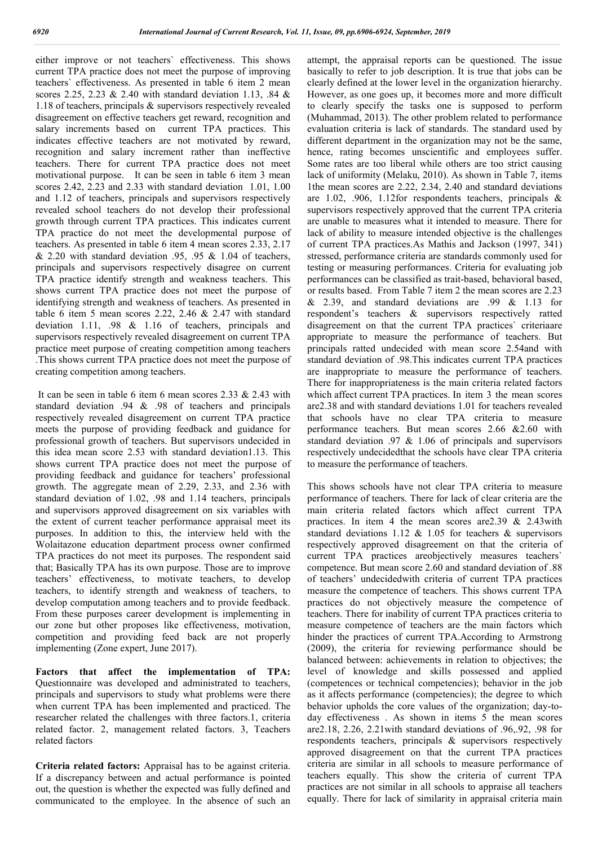either improve or not teachers` effectiveness. This shows current TPA practice does not meet the purpose of improving teachers` effectiveness. As presented in table 6 item 2 mean scores 2.25, 2.23 & 2.40 with standard deviation 1.13, .84 & 1.18 of teachers, principals & supervisors respectively revealed disagreement on effective teachers get reward, recognition and salary increments based on current TPA practices. This indicates effective teachers are not motivated by reward, recognition and salary increment rather than ineffective teachers. There for current TPA practice does not meet motivational purpose. It can be seen in table 6 item 3 mean scores 2.42, 2.23 and 2.33 with standard deviation 1.01, 1.00 and 1.12 of teachers, principals and supervisors respectively revealed school teachers do not develop their professional growth through current TPA practices. This indicates current TPA practice do not meet the developmental purpose of teachers. As presented in table 6 item 4 mean scores 2.33, 2.17  $& 2.20$  with standard deviation .95, .95  $& 1.04$  of teachers, principals and supervisors respectively disagree on current TPA practice identify strength and weakness teachers. This shows current TPA practice does not meet the purpose of identifying strength and weakness of teachers. As presented in table 6 item 5 mean scores 2.22, 2.46 & 2.47 with standard deviation 1.11, .98 & 1.16 of teachers, principals and supervisors respectively revealed disagreement on current TPA practice meet purpose of creating competition among teachers .This shows current TPA practice does not meet the purpose of creating competition among teachers.

It can be seen in table 6 item 6 mean scores 2.33 & 2.43 with standard deviation .94 & .98 of teachers and principals respectively revealed disagreement on current TPA practice meets the purpose of providing feedback and guidance for professional growth of teachers. But supervisors undecided in this idea mean score 2.53 with standard deviation1.13. This shows current TPA practice does not meet the purpose of providing feedback and guidance for teachers' professional growth. The aggregate mean of 2.29, 2.33, and 2.36 with standard deviation of 1.02, .98 and 1.14 teachers, principals and supervisors approved disagreement on six variables with the extent of current teacher performance appraisal meet its purposes. In addition to this, the interview held with the Wolaitazone education department process owner confirmed TPA practices do not meet its purposes. The respondent said that; Basically TPA has its own purpose. Those are to improve teachers' effectiveness, to motivate teachers, to develop teachers, to identify strength and weakness of teachers, to develop computation among teachers and to provide feedback. From these purposes career development is implementing in our zone but other proposes like effectiveness, motivation, competition and providing feed back are not properly implementing (Zone expert, June 2017).

**Factors that affect the implementation of TPA:**  Questionnaire was developed and administrated to teachers, principals and supervisors to study what problems were there when current TPA has been implemented and practiced. The researcher related the challenges with three factors.1, criteria related factor. 2, management related factors. 3, Teachers related factors

**Criteria related factors:** Appraisal has to be against criteria. If a discrepancy between and actual performance is pointed out, the question is whether the expected was fully defined and communicated to the employee. In the absence of such an attempt, the appraisal reports can be questioned. The issue basically to refer to job description. It is true that jobs can be clearly defined at the lower level in the organization hierarchy. However, as one goes up, it becomes more and more difficult to clearly specify the tasks one is supposed to perform (Muhammad, 2013). The other problem related to performance evaluation criteria is lack of standards. The standard used by different department in the organization may not be the same, hence, rating becomes unscientific and employees suffer. Some rates are too liberal while others are too strict causing lack of uniformity (Melaku, 2010). As shown in Table 7, items 1the mean scores are 2.22, 2.34, 2.40 and standard deviations are 1.02, .906, 1.12for respondents teachers, principals & supervisors respectively approved that the current TPA criteria are unable to measures what it intended to measure. There for lack of ability to measure intended objective is the challenges of current TPA practices.As Mathis and Jackson (1997, 341) stressed, performance criteria are standards commonly used for testing or measuring performances. Criteria for evaluating job performances can be classified as trait-based, behavioral based, or results based. From Table 7 item 2 the mean scores are 2.23  $\&$  2.39, and standard deviations are .99  $\&$  1.13 for respondent's teachers & supervisors respectively ratted disagreement on that the current TPA practices` criteriaare appropriate to measure the performance of teachers. But principals ratted undecided with mean score 2.54and with standard deviation of .98.This indicates current TPA practices are inappropriate to measure the performance of teachers. There for inappropriateness is the main criteria related factors which affect current TPA practices. In item 3 the mean scores are2.38 and with standard deviations 1.01 for teachers revealed that schools have no clear TPA criteria to measure performance teachers. But mean scores 2.66 &2.60 with standard deviation .97 & 1.06 of principals and supervisors respectively undecidedthat the schools have clear TPA criteria to measure the performance of teachers.

This shows schools have not clear TPA criteria to measure performance of teachers. There for lack of clear criteria are the main criteria related factors which affect current TPA practices. In item 4 the mean scores are  $2.39 \& 2.43$  with standard deviations 1.12  $& 1.05$  for teachers  $&$  supervisors respectively approved disagreement on that the criteria of current TPA practices areobjectively measures teachers' competence. But mean score 2.60 and standard deviation of .88 of teachers' undecidedwith criteria of current TPA practices measure the competence of teachers. This shows current TPA practices do not objectively measure the competence of teachers. There for inability of current TPA practices criteria to measure competence of teachers are the main factors which hinder the practices of current TPA.According to Armstrong (2009), the criteria for reviewing performance should be balanced between: achievements in relation to objectives; the level of knowledge and skills possessed and applied (competences or technical competencies); behavior in the job as it affects performance (competencies); the degree to which behavior upholds the core values of the organization; day-today effectiveness . As shown in items 5 the mean scores are2.18, 2.26, 2.21with standard deviations of .96,.92, .98 for respondents teachers, principals & supervisors respectively approved disagreement on that the current TPA practices criteria are similar in all schools to measure performance of teachers equally. This show the criteria of current TPA practices are not similar in all schools to appraise all teachers equally. There for lack of similarity in appraisal criteria main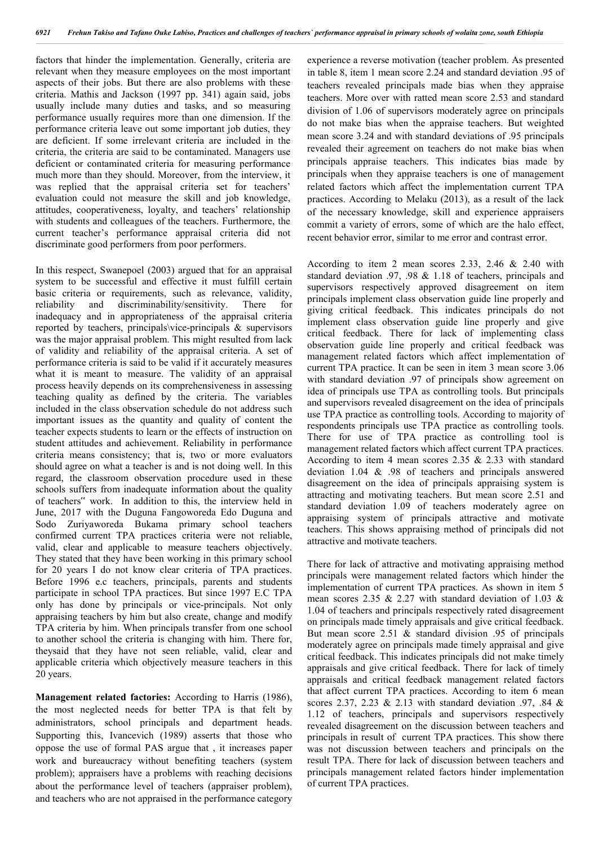factors that hinder the implementation. Generally, criteria are relevant when they measure employees on the most important aspects of their jobs. But there are also problems with these criteria. Mathis and Jackson (1997 pp. 341) again said, jobs usually include many duties and tasks, and so measuring performance usually requires more than one dimension. If the performance criteria leave out some important job duties, they are deficient. If some irrelevant criteria are included in the criteria, the criteria are said to be contaminated. Managers use deficient or contaminated criteria for measuring performance much more than they should. Moreover, from the interview, it was replied that the appraisal criteria set for teachers' evaluation could not measure the skill and job knowledge, attitudes, cooperativeness, loyalty, and teachers' relationship with students and colleagues of the teachers. Furthermore, the current teacher's performance appraisal criteria did not discriminate good performers from poor performers.

In this respect, Swanepoel (2003) argued that for an appraisal system to be successful and effective it must fulfill certain basic criteria or requirements, such as relevance, validity, reliability and discriminability/sensitivity. There for inadequacy and in appropriateness of the appraisal criteria reported by teachers, principals\vice-principals & supervisors was the major appraisal problem. This might resulted from lack of validity and reliability of the appraisal criteria. A set of performance criteria is said to be valid if it accurately measures what it is meant to measure. The validity of an appraisal process heavily depends on its comprehensiveness in assessing teaching quality as defined by the criteria. The variables included in the class observation schedule do not address such important issues as the quantity and quality of content the teacher expects students to learn or the effects of instruction on student attitudes and achievement. Reliability in performance criteria means consistency; that is, two or more evaluators should agree on what a teacher is and is not doing well. In this regard, the classroom observation procedure used in these schools suffers from inadequate information about the quality of teachers" work. In addition to this, the interview held in June, 2017 with the Duguna Fangoworeda Edo Duguna and Sodo Zuriyaworeda Bukama primary school teachers confirmed current TPA practices criteria were not reliable, valid, clear and applicable to measure teachers objectively. They stated that they have been working in this primary school for 20 years I do not know clear criteria of TPA practices. Before 1996 e.c teachers, principals, parents and students participate in school TPA practices. But since 1997 E.C TPA only has done by principals or vice-principals. Not only appraising teachers by him but also create, change and modify TPA criteria by him. When principals transfer from one school to another school the criteria is changing with him. There for, theysaid that they have not seen reliable, valid, clear and applicable criteria which objectively measure teachers in this 20 years.

**Management related factories:** According to Harris (1986), the most neglected needs for better TPA is that felt by administrators, school principals and department heads. Supporting this, Ivancevich (1989) asserts that those who oppose the use of formal PAS argue that , it increases paper work and bureaucracy without benefiting teachers (system problem); appraisers have a problems with reaching decisions about the performance level of teachers (appraiser problem), and teachers who are not appraised in the performance category

experience a reverse motivation (teacher problem. As presented in table 8, item 1 mean score 2.24 and standard deviation .95 of teachers revealed principals made bias when they appraise teachers. More over with ratted mean score 2.53 and standard division of 1.06 of supervisors moderately agree on principals do not make bias when the appraise teachers. But weighted mean score 3.24 and with standard deviations of .95 principals revealed their agreement on teachers do not make bias when principals appraise teachers. This indicates bias made by principals when they appraise teachers is one of management related factors which affect the implementation current TPA practices. According to Melaku (2013), as a result of the lack of the necessary knowledge, skill and experience appraisers commit a variety of errors, some of which are the halo effect, recent behavior error, similar to me error and contrast error.

According to item 2 mean scores 2.33, 2.46 & 2.40 with standard deviation .97, .98 & 1.18 of teachers, principals and supervisors respectively approved disagreement on item principals implement class observation guide line properly and giving critical feedback. This indicates principals do not implement class observation guide line properly and give critical feedback. There for lack of implementing class observation guide line properly and critical feedback was management related factors which affect implementation of current TPA practice. It can be seen in item 3 mean score 3.06 with standard deviation .97 of principals show agreement on idea of principals use TPA as controlling tools. But principals and supervisors revealed disagreement on the idea of principals use TPA practice as controlling tools. According to majority of respondents principals use TPA practice as controlling tools. There for use of TPA practice as controlling tool is management related factors which affect current TPA practices. According to item 4 mean scores 2.35 & 2.33 with standard deviation 1.04 & .98 of teachers and principals answered disagreement on the idea of principals appraising system is attracting and motivating teachers. But mean score 2.51 and standard deviation 1.09 of teachers moderately agree on appraising system of principals attractive and motivate teachers. This shows appraising method of principals did not attractive and motivate teachers.

There for lack of attractive and motivating appraising method principals were management related factors which hinder the implementation of current TPA practices. As shown in item 5 mean scores 2.35 & 2.27 with standard deviation of 1.03 & 1.04 of teachers and principals respectively rated disagreement on principals made timely appraisals and give critical feedback. But mean score 2.51 & standard division .95 of principals moderately agree on principals made timely appraisal and give critical feedback. This indicates principals did not make timely appraisals and give critical feedback. There for lack of timely appraisals and critical feedback management related factors that affect current TPA practices. According to item 6 mean scores 2.37, 2.23 & 2.13 with standard deviation .97, .84 & 1.12 of teachers, principals and supervisors respectively revealed disagreement on the discussion between teachers and principals in result of current TPA practices. This show there was not discussion between teachers and principals on the result TPA. There for lack of discussion between teachers and principals management related factors hinder implementation of current TPA practices.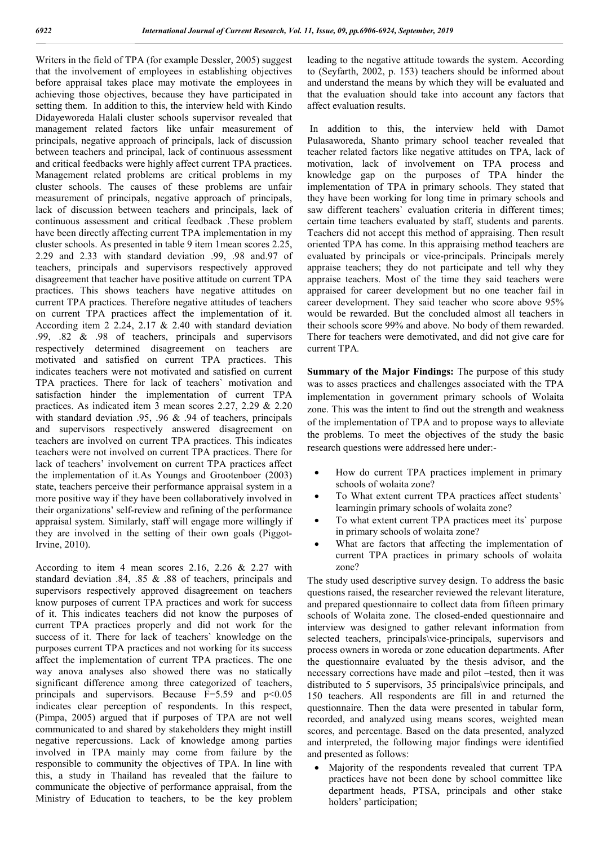Writers in the field of TPA (for example Dessler, 2005) suggest that the involvement of employees in establishing objectives before appraisal takes place may motivate the employees in achieving those objectives, because they have participated in setting them. In addition to this, the interview held with Kindo Didayeworeda Halali cluster schools supervisor revealed that management related factors like unfair measurement of principals, negative approach of principals, lack of discussion between teachers and principal, lack of continuous assessment and critical feedbacks were highly affect current TPA practices. Management related problems are critical problems in my cluster schools. The causes of these problems are unfair measurement of principals, negative approach of principals, lack of discussion between teachers and principals, lack of continuous assessment and critical feedback .These problem have been directly affecting current TPA implementation in my cluster schools. As presented in table 9 item 1mean scores 2.25, 2.29 and 2.33 with standard deviation .99, .98 and.97 of teachers, principals and supervisors respectively approved disagreement that teacher have positive attitude on current TPA practices. This shows teachers have negative attitudes on current TPA practices. Therefore negative attitudes of teachers on current TPA practices affect the implementation of it. According item 2 2.24, 2.17 & 2.40 with standard deviation .99, .82 & .98 of teachers, principals and supervisors respectively determined disagreement on teachers are motivated and satisfied on current TPA practices. This indicates teachers were not motivated and satisfied on current TPA practices. There for lack of teachers` motivation and satisfaction hinder the implementation of current TPA practices. As indicated item 3 mean scores 2.27, 2.29 & 2.20 with standard deviation .95, .96 & .94 of teachers, principals and supervisors respectively answered disagreement on teachers are involved on current TPA practices. This indicates teachers were not involved on current TPA practices. There for lack of teachers' involvement on current TPA practices affect the implementation of it.As Youngs and Grootenboer (2003) state, teachers perceive their performance appraisal system in a more positive way if they have been collaboratively involved in their organizations' self-review and refining of the performance appraisal system. Similarly, staff will engage more willingly if they are involved in the setting of their own goals (Piggot-Irvine, 2010).

According to item 4 mean scores  $2.16$ ,  $2.26 \& 2.27$  with standard deviation .84, .85 & .88 of teachers, principals and supervisors respectively approved disagreement on teachers know purposes of current TPA practices and work for success of it. This indicates teachers did not know the purposes of current TPA practices properly and did not work for the success of it. There for lack of teachers` knowledge on the purposes current TPA practices and not working for its success affect the implementation of current TPA practices. The one way anova analyses also showed there was no statically significant difference among three categorized of teachers, principals and supervisors. Because  $F=5.59$  and  $p<0.05$ indicates clear perception of respondents. In this respect, (Pimpa, 2005) argued that if purposes of TPA are not well communicated to and shared by stakeholders they might instill negative repercussions. Lack of knowledge among parties involved in TPA mainly may come from failure by the responsible to community the objectives of TPA. In line with this, a study in Thailand has revealed that the failure to communicate the objective of performance appraisal, from the Ministry of Education to teachers, to be the key problem leading to the negative attitude towards the system. According to (Seyfarth, 2002, p. 153) teachers should be informed about and understand the means by which they will be evaluated and that the evaluation should take into account any factors that affect evaluation results.

In addition to this, the interview held with Damot Pulasaworeda, Shanto primary school teacher revealed that teacher related factors like negative attitudes on TPA, lack of motivation, lack of involvement on TPA process and knowledge gap on the purposes of TPA hinder the implementation of TPA in primary schools. They stated that they have been working for long time in primary schools and saw different teachers` evaluation criteria in different times; certain time teachers evaluated by staff, students and parents. Teachers did not accept this method of appraising. Then result oriented TPA has come. In this appraising method teachers are evaluated by principals or vice-principals. Principals merely appraise teachers; they do not participate and tell why they appraise teachers. Most of the time they said teachers were appraised for career development but no one teacher fail in career development. They said teacher who score above 95% would be rewarded. But the concluded almost all teachers in their schools score 99% and above. No body of them rewarded. There for teachers were demotivated, and did not give care for current TPA*.*

**Summary of the Major Findings:** The purpose of this study was to asses practices and challenges associated with the TPA implementation in government primary schools of Wolaita zone. This was the intent to find out the strength and weakness of the implementation of TPA and to propose ways to alleviate the problems. To meet the objectives of the study the basic research questions were addressed here under:-

- How do current TPA practices implement in primary schools of wolaita zone?
- To What extent current TPA practices affect students` learningin primary schools of wolaita zone?
- To what extent current TPA practices meet its` purpose in primary schools of wolaita zone?
- What are factors that affecting the implementation of current TPA practices in primary schools of wolaita zone?

The study used descriptive survey design. To address the basic questions raised, the researcher reviewed the relevant literature, and prepared questionnaire to collect data from fifteen primary schools of Wolaita zone. The closed-ended questionnaire and interview was designed to gather relevant information from selected teachers, principals\vice-principals, supervisors and process owners in woreda or zone education departments. After the questionnaire evaluated by the thesis advisor, and the necessary corrections have made and pilot –tested, then it was distributed to 5 supervisors, 35 principals\vice principals, and 150 teachers. All respondents are fill in and returned the questionnaire. Then the data were presented in tabular form, recorded, and analyzed using means scores, weighted mean scores, and percentage. Based on the data presented, analyzed and interpreted, the following major findings were identified and presented as follows:

 Majority of the respondents revealed that current TPA practices have not been done by school committee like department heads, PTSA, principals and other stake holders' participation;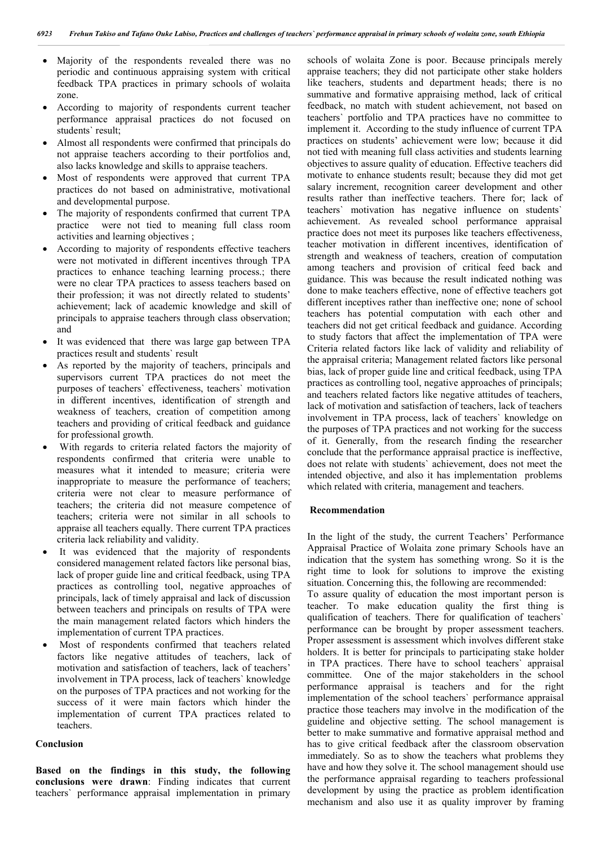- Majority of the respondents revealed there was no periodic and continuous appraising system with critical feedback TPA practices in primary schools of wolaita zone.
- According to majority of respondents current teacher performance appraisal practices do not focused on students` result;
- Almost all respondents were confirmed that principals do not appraise teachers according to their portfolios and, also lacks knowledge and skills to appraise teachers.
- Most of respondents were approved that current TPA practices do not based on administrative, motivational and developmental purpose.
- The majority of respondents confirmed that current TPA practice were not tied to meaning full class room activities and learning objectives ;
- According to majority of respondents effective teachers were not motivated in different incentives through TPA practices to enhance teaching learning process.; there were no clear TPA practices to assess teachers based on their profession; it was not directly related to students' achievement; lack of academic knowledge and skill of principals to appraise teachers through class observation; and
- It was evidenced that there was large gap between TPA practices result and students` result
- As reported by the majority of teachers, principals and supervisors current TPA practices do not meet the purposes of teachers` effectiveness, teachers` motivation in different incentives, identification of strength and weakness of teachers, creation of competition among teachers and providing of critical feedback and guidance for professional growth.
- With regards to criteria related factors the majority of respondents confirmed that criteria were unable to measures what it intended to measure; criteria were inappropriate to measure the performance of teachers; criteria were not clear to measure performance of teachers; the criteria did not measure competence of teachers; criteria were not similar in all schools to appraise all teachers equally. There current TPA practices criteria lack reliability and validity.
- It was evidenced that the majority of respondents considered management related factors like personal bias, lack of proper guide line and critical feedback, using TPA practices as controlling tool, negative approaches of principals, lack of timely appraisal and lack of discussion between teachers and principals on results of TPA were the main management related factors which hinders the implementation of current TPA practices.
- Most of respondents confirmed that teachers related factors like negative attitudes of teachers, lack of motivation and satisfaction of teachers, lack of teachers' involvement in TPA process, lack of teachers` knowledge on the purposes of TPA practices and not working for the success of it were main factors which hinder the implementation of current TPA practices related to teachers.

### **Conclusion**

**Based on the findings in this study, the following conclusions were drawn**: Finding indicates that current teachers` performance appraisal implementation in primary schools of wolaita Zone is poor. Because principals merely appraise teachers; they did not participate other stake holders like teachers, students and department heads; there is no summative and formative appraising method, lack of critical feedback, no match with student achievement, not based on teachers` portfolio and TPA practices have no committee to implement it. According to the study influence of current TPA practices on students' achievement were low; because it did not tied with meaning full class activities and students learning objectives to assure quality of education. Effective teachers did motivate to enhance students result; because they did mot get salary increment, recognition career development and other results rather than ineffective teachers. There for; lack of teachers` motivation has negative influence on students` achievement. As revealed school performance appraisal practice does not meet its purposes like teachers effectiveness, teacher motivation in different incentives, identification of strength and weakness of teachers, creation of computation among teachers and provision of critical feed back and guidance. This was because the result indicated nothing was done to make teachers effective, none of effective teachers got different inceptives rather than ineffective one; none of school teachers has potential computation with each other and teachers did not get critical feedback and guidance. According to study factors that affect the implementation of TPA were Criteria related factors like lack of validity and reliability of the appraisal criteria; Management related factors like personal bias, lack of proper guide line and critical feedback, using TPA practices as controlling tool, negative approaches of principals; and teachers related factors like negative attitudes of teachers, lack of motivation and satisfaction of teachers, lack of teachers involvement in TPA process, lack of teachers` knowledge on the purposes of TPA practices and not working for the success of it. Generally, from the research finding the researcher conclude that the performance appraisal practice is ineffective, does not relate with students` achievement, does not meet the intended objective, and also it has implementation problems which related with criteria, management and teachers.

#### **Recommendation**

In the light of the study, the current Teachers' Performance Appraisal Practice of Wolaita zone primary Schools have an indication that the system has something wrong. So it is the right time to look for solutions to improve the existing situation. Concerning this, the following are recommended: To assure quality of education the most important person is

teacher. To make education quality the first thing is qualification of teachers. There for qualification of teachers` performance can be brought by proper assessment teachers. Proper assessment is assessment which involves different stake holders. It is better for principals to participating stake holder in TPA practices. There have to school teachers` appraisal committee. One of the major stakeholders in the school performance appraisal is teachers and for the right implementation of the school teachers` performance appraisal practice those teachers may involve in the modification of the guideline and objective setting. The school management is better to make summative and formative appraisal method and has to give critical feedback after the classroom observation immediately. So as to show the teachers what problems they have and how they solve it. The school management should use the performance appraisal regarding to teachers professional development by using the practice as problem identification mechanism and also use it as quality improver by framing